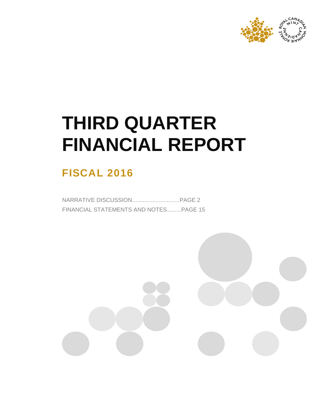

# **THIRD QUARTER FINANCIAL REPORT**

# **FISCAL 2016**

NARRATIVE DISCUSSION..............................PAGE 2 FINANCIAL STATEMENTS AND NOTES.........PAGE 15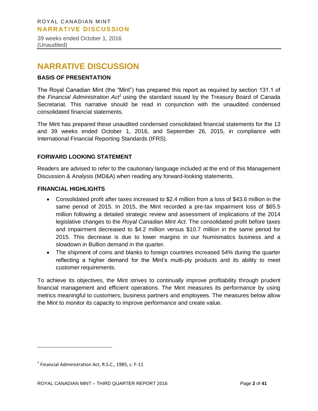39 weeks ended October 1, 2016 (Unaudited)

# **NARRATIVE DISCUSSION**

# **BASIS OF PRESENTATION**

The Royal Canadian Mint (the "Mint") has prepared this report as required by section 131.1 of the Financial Administration Act<sup>1</sup> using the standard issued by the Treasury Board of Canada Secretariat. This narrative should be read in conjunction with the unaudited condensed consolidated financial statements.

The Mint has prepared these unaudited condensed consolidated financial statements for the 13 and 39 weeks ended October 1, 2016, and September 26, 2015, in compliance with International Financial Reporting Standards (IFRS).

# **FORWARD LOOKING STATEMENT**

Readers are advised to refer to the cautionary language included at the end of this Management Discussion & Analysis (MD&A) when reading any forward-looking statements.

# **FINANCIAL HIGHLIGHTS**

- Consolidated profit after taxes increased to \$2.4 million from a loss of \$43.6 million in the same period of 2015. In 2015, the Mint recorded a pre-tax impairment loss of \$65.5 million following a detailed strategic review and assessment of implications of the 2014 legislative changes to the *Royal Canadian Mint Act*. The consolidated profit before taxes and impairment decreased to \$4.2 million versus \$10.7 million in the same period for 2015. This decrease is due to lower margins in our Numismatics business and a slowdown in Bullion demand in the quarter.
- The shipment of coins and blanks to foreign countries increased 54% during the quarter reflecting a higher demand for the Mint's multi-ply products and its ability to meet customer requirements.

To achieve its objectives, the Mint strives to continually improve profitability through prudent financial management and efficient operations. The Mint measures its performance by using metrics meaningful to customers, business partners and employees. The measures below allow the Mint to monitor its capacity to improve performance and create value.

 $\overline{a}$ 

 $<sup>1</sup>$  Financial Administration Act, R.S.C., 1985, c. F-11</sup>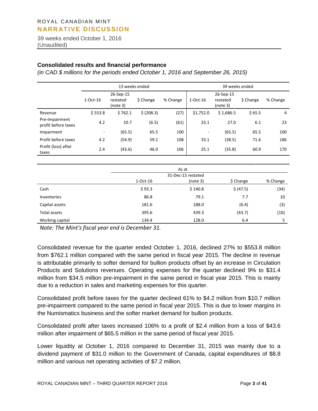39 weeks ended October 1, 2016 (Unaudited)

#### **Consolidated results and financial performance**

*(in CAD \$ millions for the periods ended October 1, 2016 and September 26, 2015)*

|                                       |            |                                   | 13 weeks ended |          | 39 weeks ended |                                   |           |          |  |  |
|---------------------------------------|------------|-----------------------------------|----------------|----------|----------------|-----------------------------------|-----------|----------|--|--|
|                                       | $1-Oct-16$ | 26-Sep-15<br>restated<br>(note 3) | \$ Change      | % Change | $1-Oct-16$     | 26-Sep-15<br>restated<br>(note 3) | \$ Change | % Change |  |  |
| Revenue                               | \$553.8    | \$762.1                           | \$ (208.3)     | (27)     | \$1,752.0      | \$1,686.5                         | \$65.5    | 4        |  |  |
| Pre-Impairment<br>profit before taxes | 4.2        | 10.7                              | (6.5)          | (61)     | 33.1           | 27.0                              | 6.1       | 23       |  |  |
| Impairment                            | ٠.         | (65.5)                            | 65.5           | 100      | ۰              | (65.5)                            | 65.5      | 100      |  |  |
| Profit before taxes                   | 4.2        | (54.9)                            | 59.1           | 108      | 33.1           | (38.5)                            | 71.6      | 186      |  |  |
| Profit (loss) after<br>taxes          | 2.4        | (43.6)                            | 46.0           | 106      | 25.1           | (35.8)                            | 60.9      | 170      |  |  |

|                 |            | As at              |           |          |
|-----------------|------------|--------------------|-----------|----------|
|                 |            | 31-Dec-15 restated |           |          |
|                 | $1-Oct-16$ | (note 3)           | \$ Change | % Change |
| Cash            | \$93.3     | \$140.8            | \$ (47.5) | (34)     |
| Inventories     | 86.8       | 79.1               | 7.7       | 10       |
| Capital assets  | 181.6      | 188.0              | (6.4)     | (3)      |
| Total assets    | 395.6      | 439.3              | (43.7)    | (10)     |
| Working capital | 134.4      | 128.0              | 6.4       | 5        |

*Note: The Mint's fiscal year end is December 31.* 

Consolidated revenue for the quarter ended October 1, 2016, declined 27% to \$553.8 million from \$762.1 million compared with the same period in fiscal year 2015. The decline in revenue is attributable primarily to softer demand for bullion products offset by an increase in Circulation Products and Solutions revenues. Operating expenses for the quarter declined 9% to \$31.4 million from \$34.5 million pre-impairment in the same period in fiscal year 2015. This is mainly due to a reduction in sales and marketing expenses for this quarter.

Consolidated profit before taxes for the quarter declined 61% to \$4.2 million from \$10.7 million pre-impairment compared to the same period in fiscal year 2015. This is due to lower margins in the Numismatics business and the softer market demand for bullion products.

Consolidated profit after taxes increased 106% to a profit of \$2.4 million from a loss of \$43.6 million after impairment of \$65.5 million in the same period of fiscal year 2015.

Lower liquidity at October 1, 2016 compared to December 31, 2015 was mainly due to a dividend payment of \$31.0 million to the Government of Canada, capital expenditures of \$8.8 million and various net operating activities of \$7.2 million.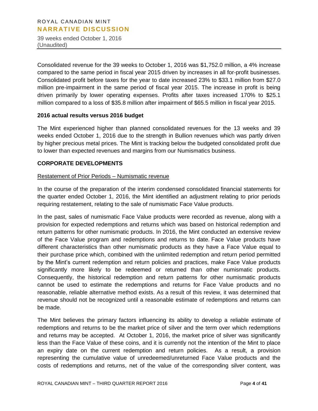39 weeks ended October 1, 2016 (Unaudited)

Consolidated revenue for the 39 weeks to October 1, 2016 was \$1,752.0 million, a 4% increase compared to the same period in fiscal year 2015 driven by increases in all for-profit businesses. Consolidated profit before taxes for the year to date increased 23% to \$33.1 million from \$27.0 million pre-impairment in the same period of fiscal year 2015. The increase in profit is being driven primarily by lower operating expenses. Profits after taxes increased 170% to \$25.1 million compared to a loss of \$35.8 million after impairment of \$65.5 million in fiscal year 2015.

# **2016 actual results versus 2016 budget**

The Mint experienced higher than planned consolidated revenues for the 13 weeks and 39 weeks ended October 1, 2016 due to the strength in Bullion revenues which was partly driven by higher precious metal prices. The Mint is tracking below the budgeted consolidated profit due to lower than expected revenues and margins from our Numismatics business.

# **CORPORATE DEVELOPMENTS**

# Restatement of Prior Periods – Numismatic revenue

In the course of the preparation of the interim condensed consolidated financial statements for the quarter ended October 1, 2016, the Mint identified an adjustment relating to prior periods requiring restatement, relating to the sale of numismatic Face Value products.

In the past, sales of numismatic Face Value products were recorded as revenue, along with a provision for expected redemptions and returns which was based on historical redemption and return patterns for other numismatic products. In 2016, the Mint conducted an extensive review of the Face Value program and redemptions and returns to date. Face Value products have different characteristics than other numismatic products as they have a Face Value equal to their purchase price which, combined with the unlimited redemption and return period permitted by the Mint's current redemption and return policies and practices, make Face Value products significantly more likely to be redeemed or returned than other numismatic products. Consequently, the historical redemption and return patterns for other numismatic products cannot be used to estimate the redemptions and returns for Face Value products and no reasonable, reliable alternative method exists. As a result of this review, it was determined that revenue should not be recognized until a reasonable estimate of redemptions and returns can be made.

The Mint believes the primary factors influencing its ability to develop a reliable estimate of redemptions and returns to be the market price of silver and the term over which redemptions and returns may be accepted. At October 1, 2016, the market price of silver was significantly less than the Face Value of these coins, and it is currently not the intention of the Mint to place an expiry date on the current redemption and return policies. As a result, a provision representing the cumulative value of unredeemed/unreturned Face Value products and the costs of redemptions and returns, net of the value of the corresponding silver content, was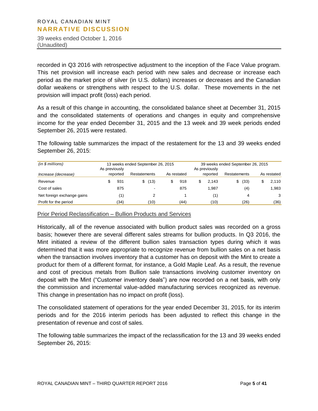39 weeks ended October 1, 2016 (Unaudited)

recorded in Q3 2016 with retrospective adjustment to the inception of the Face Value program. This net provision will increase each period with new sales and decrease or increase each period as the market price of silver (in U.S. dollars) increases or decreases and the Canadian dollar weakens or strengthens with respect to the U.S. dollar. These movements in the net provision will impact profit (loss) each period.

As a result of this change in accounting, the consolidated balance sheet at December 31, 2015 and the consolidated statements of operations and changes in equity and comprehensive income for the year ended December 31, 2015 and the 13 week and 39 week periods ended September 26, 2015 were restated.

The following table summarizes the impact of the restatement for the 13 and 39 weeks ended September 26, 2015:

| (in \$ millions)           | 13 weeks ended September 26, 2015<br>As previously |          |              |      |  |             | 39 weeks ended September 26, 2015<br>As previously |          |              |      |  |             |
|----------------------------|----------------------------------------------------|----------|--------------|------|--|-------------|----------------------------------------------------|----------|--------------|------|--|-------------|
| Increase (decrease)        |                                                    | reported | Restatements |      |  | As restated |                                                    | reported | Restatements |      |  | As restated |
| Revenue                    |                                                    | 931      | \$           | (13) |  | 918         |                                                    | 2.143    | S.           | (33) |  | 2,110       |
| Cost of sales              |                                                    | 875      |              | -    |  | 875         |                                                    | 1.987    |              | (4)  |  | 1.983       |
| Net foreign exchange gains |                                                    | (1)      |              |      |  |             |                                                    | (1)      |              | 4    |  | 3           |
| Profit for the period      |                                                    | (34)     |              | (10) |  | (44)        |                                                    | (10)     |              | (26) |  | (36)        |

Prior Period Reclassification – Bullion Products and Services

Historically, all of the revenue associated with bullion product sales was recorded on a gross basis; however there are several different sales streams for bullion products. In Q3 2016, the Mint initiated a review of the different bullion sales transaction types during which it was determined that it was more appropriate to recognize revenue from bullion sales on a net basis when the transaction involves inventory that a customer has on deposit with the Mint to create a product for them of a different format, for instance, a Gold Maple Leaf. As a result, the revenue and cost of precious metals from Bullion sale transactions involving customer inventory on deposit with the Mint ("Customer inventory deals") are now recorded on a net basis, with only the commission and incremental value-added manufacturing services recognized as revenue. This change in presentation has no impact on profit (loss).

The consolidated statement of operations for the year ended December 31, 2015, for its interim periods and for the 2016 interim periods has been adjusted to reflect this change in the presentation of revenue and cost of sales.

The following table summarizes the impact of the reclassification for the 13 and 39 weeks ended September 26, 2015: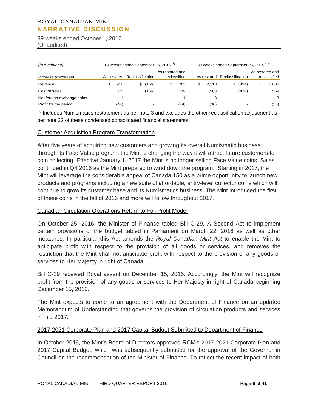39 weeks ended October 1, 2016 (Unaudited)

| (in \$millions)            | 13 weeks ended September 26, 2015 <sup>(1)</sup> |             |                  |       |                                 |      | 39 weeks ended September 26, 2015 <sup>(1)</sup> |                  |                          |                                 |
|----------------------------|--------------------------------------------------|-------------|------------------|-------|---------------------------------|------|--------------------------------------------------|------------------|--------------------------|---------------------------------|
| Increase (decrease)        |                                                  | As restated | Reclassification |       | As restated and<br>reclassified |      | As restated                                      | Reclassification |                          | As restated and<br>reclassified |
| Revenue                    |                                                  | 918         | S                | (156) |                                 | 762  | 2.110                                            | \$               | (424)                    | 1,686                           |
| Cost of sales              |                                                  | 875         |                  | (156) |                                 | 719  | 1.983                                            |                  | (424)                    | 1,559                           |
| Net foreign exchange gains |                                                  |             |                  |       |                                 |      | 3                                                |                  |                          | 3                               |
| Profit for the period      |                                                  | (44)        |                  |       |                                 | (44) | (36)                                             |                  | $\overline{\phantom{0}}$ | (36)                            |

 $<sup>(1)</sup>$  Includes Numismatics restatement as per note 3 and excludes the other reclassification adjustment as</sup> per note 22 of these condensed consolidated financial statements

#### Customer Acquisition Program Transformation

After five years of acquiring new customers and growing its overall Numismatic business through its Face Value program, the Mint is changing the way it will attract future customers to coin collecting. Effective January 1, 2017 the Mint is no longer selling Face Value coins. Sales continued in Q4 2016 as the Mint prepared to wind down the program. Starting in 2017, the Mint will leverage the considerable appeal of Canada 150 as a prime opportunity to launch new products and programs including a new suite of affordable, entry-level collector coins which will continue to grow its customer base and its Numismatics business. The Mint introduced the first of these coins in the fall of 2016 and more will follow throughout 2017.

#### Canadian Circulation Operations Return to For-Profit Model

On October 25, 2016, the Minister of Finance tabled Bill C-29, *A* Second Act to implement certain provisions of the budget tabled in Parliament on March 22, 2016 as well as other measures. In particular this Act amends the *Royal Canadian Mint Act* to enable the Mint to anticipate profit with respect to the provision of all goods or services, and removes the restriction that the Mint shall not anticipate profit with respect to the provision of any goods or services to Her Majesty in right of Canada.

Bill C-29 received Royal assent on December 15, 2016. Accordingly, the Mint will recognize profit from the provision of any goods or services to Her Majesty in right of Canada beginning December 15, 2016.

The Mint expects to come to an agreement with the Department of Finance on an updated Memorandum of Understanding that governs the provision of circulation products and services in mid 2017.

#### 2017-2021 Corporate Plan and 2017 Capital Budget Submitted to Department of Finance

In October 2016, the Mint's Board of Directors approved RCM's 2017-2021 Corporate Plan and 2017 Capital Budget, which was subsequently submitted for the approval of the Governor in Council on the recommendation of the Minister of Finance. To reflect the recent impact of both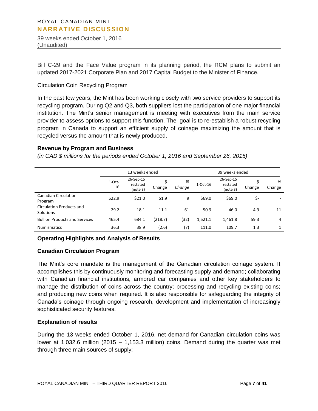39 weeks ended October 1, 2016 (Unaudited)

Bill C-29 and the Face Value program in its planning period, the RCM plans to submit an updated 2017-2021 Corporate Plan and 2017 Capital Budget to the Minister of Finance.

# Circulation Coin Recycling Program

In the past few years, the Mint has been working closely with two service providers to support its recycling program. During Q2 and Q3, both suppliers lost the participation of one major financial institution. The Mint's senior management is meeting with executives from the main service provider to assess options to support this function. The goal is to re-establish a robust recycling program in Canada to support an efficient supply of coinage maximizing the amount that is recycled versus the amount that is newly produced.

#### **Revenue by Program and Business**

*(in CAD \$ millions for the periods ended October 1, 2016 and September 26, 2015)*

|                                                     |                | 13 weeks ended                    |         |             |            |                                   |        |              |
|-----------------------------------------------------|----------------|-----------------------------------|---------|-------------|------------|-----------------------------------|--------|--------------|
|                                                     | $1-Oct-$<br>16 | 26-Sep-15<br>restated<br>(note 3) | Change  | %<br>Change | $1-Oct-16$ | 26-Sep-15<br>restated<br>(note 3) | Change | %<br>Change  |
| <b>Canadian Circulation</b><br>Program              | \$22.9         | \$21.0                            | \$1.9   | 9           | \$69.0     | \$69.0                            | \$-    |              |
| <b>Circulation Products and</b><br><b>Solutions</b> | 29.2           | 18.1                              | 11.1    | 61          | 50.9       | 46.0                              | 4.9    | 11           |
| <b>Bullion Products and Services</b>                | 465.4          | 684.1                             | (218.7) | (32)        | 1,521.1    | 1,461.8                           | 59.3   | 4            |
| <b>Numismatics</b>                                  | 36.3           | 38.9                              | (2.6)   | (7)         | 111.0      | 109.7                             | 1.3    | $\mathbf{1}$ |

# **Operating Highlights and Analysis of Results**

# **Canadian Circulation Program**

The Mint's core mandate is the management of the Canadian circulation coinage system. It accomplishes this by continuously monitoring and forecasting supply and demand; collaborating with Canadian financial institutions, armored car companies and other key stakeholders to manage the distribution of coins across the country; processing and recycling existing coins; and producing new coins when required. It is also responsible for safeguarding the integrity of Canada's coinage through ongoing research, development and implementation of increasingly sophisticated security features.

# **Explanation of results**

During the 13 weeks ended October 1, 2016, net demand for Canadian circulation coins was lower at 1,032.6 million (2015 – 1,153.3 million) coins. Demand during the quarter was met through three main sources of supply: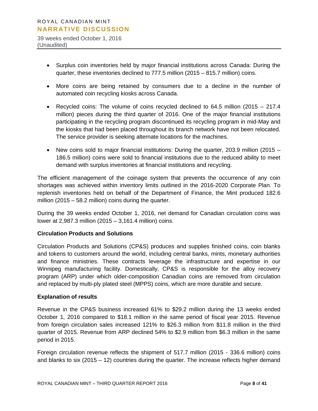39 weeks ended October 1, 2016 (Unaudited)

- Surplus coin inventories held by major financial institutions across Canada: During the quarter, these inventories declined to 777.5 million (2015 – 815.7 million) coins.
- More coins are being retained by consumers due to a decline in the number of automated coin recycling kiosks across Canada.
- Recycled coins: The volume of coins recycled declined to 64.5 million (2015 217.4 million) pieces during the third quarter of 2016. One of the major financial institutions participating in the recycling program discontinued its recycling program in mid-May and the kiosks that had been placed throughout its branch network have not been relocated. The service provider is seeking alternate locations for the machines.
- New coins sold to major financial institutions: During the quarter, 203.9 million (2015 186.5 million) coins were sold to financial institutions due to the reduced ability to meet demand with surplus inventories at financial institutions and recycling.

The efficient management of the coinage system that prevents the occurrence of any coin shortages was achieved within inventory limits outlined in the 2016-2020 Corporate Plan. To replenish inventories held on behalf of the Department of Finance, the Mint produced 182.6 million (2015 – 58.2 million) coins during the quarter.

During the 39 weeks ended October 1, 2016, net demand for Canadian circulation coins was lower at 2,987.3 million (2015 – 3,161.4 million) coins.

# **Circulation Products and Solutions**

Circulation Products and Solutions (CP&S) produces and supplies finished coins, coin blanks and tokens to customers around the world, including central banks, mints, monetary authorities and finance ministries. These contracts leverage the infrastructure and expertise in our Winnipeg manufacturing facility. Domestically, CP&S is responsible for the alloy recovery program (ARP) under which older-composition Canadian coins are removed from circulation and replaced by multi-ply plated steel (MPPS) coins, which are more durable and secure.

# **Explanation of results**

Revenue in the CP&S business increased 61% to \$29.2 million during the 13 weeks ended October 1, 2016 compared to \$18.1 million in the same period of fiscal year 2015. Revenue from foreign circulation sales increased 121% to \$26.3 million from \$11.8 million in the third quarter of 2015. Revenue from ARP declined 54% to \$2.9 million from \$6.3 million in the same period in 2015.

Foreign circulation revenue reflects the shipment of 517.7 million (2015 - 336.6 million) coins and blanks to six (2015 – 12) countries during the quarter. The increase reflects higher demand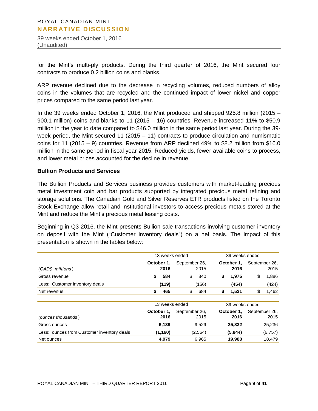39 weeks ended October 1, 2016 (Unaudited)

for the Mint's multi-ply products. During the third quarter of 2016, the Mint secured four contracts to produce 0.2 billion coins and blanks.

ARP revenue declined due to the decrease in recycling volumes, reduced numbers of alloy coins in the volumes that are recycled and the continued impact of lower nickel and copper prices compared to the same period last year.

In the 39 weeks ended October 1, 2016, the Mint produced and shipped 925.8 million (2015 – 900.1 million) coins and blanks to 11 (2015 – 16) countries. Revenue increased 11% to \$50.9 million in the year to date compared to \$46.0 million in the same period last year. During the 39 week period, the Mint secured 11 (2015 – 11) contracts to produce circulation and numismatic coins for 11 (2015 – 9) countries. Revenue from ARP declined 49% to \$8.2 million from \$16.0 million in the same period in fiscal year 2015. Reduced yields, fewer available coins to process, and lower metal prices accounted for the decline in revenue.

# **Bullion Products and Services**

The Bullion Products and Services business provides customers with market-leading precious metal investment coin and bar products supported by integrated precious metal refining and storage solutions. The Canadian Gold and Silver Reserves ETR products listed on the Toronto Stock Exchange allow retail and institutional investors to access precious metals stored at the Mint and reduce the Mint's precious metal leasing costs.

Beginning in Q3 2016, the Mint presents Bullion sale transactions involving customer inventory on deposit with the Mint ("Customer inventory deals") on a net basis. The impact of this presentation is shown in the tables below:

|                                            | 13 weeks ended |               | 39 weeks ended |               |  |  |  |  |
|--------------------------------------------|----------------|---------------|----------------|---------------|--|--|--|--|
|                                            | October 1,     | September 26, | October 1,     | September 26, |  |  |  |  |
| (CAD\$ millions)                           | 2016           | 2015          | 2016           | 2015          |  |  |  |  |
| Gross revenue                              | 584<br>\$      | \$<br>840     | \$<br>1,975    | \$<br>1,886   |  |  |  |  |
| Less: Customer inventory deals             | (119)          | (156)         | (454)          | (424)         |  |  |  |  |
| Net revenue                                | \$<br>465      | \$<br>684     | \$<br>1,521    | \$<br>1,462   |  |  |  |  |
|                                            | 13 weeks ended |               | 39 weeks ended |               |  |  |  |  |
|                                            | October 1,     | September 26, | October 1,     | September 26, |  |  |  |  |
| (ounces thousands)                         | 2016           | 2015          | 2016           | 2015          |  |  |  |  |
| Gross ounces                               | 6,139          | 9,529         | 25,832         | 25,236        |  |  |  |  |
| Less: ounces from Customer inventory deals | (1, 160)       | (2,564)       | (5,844)        | (6, 757)      |  |  |  |  |
| Net ounces                                 | 4,979          | 6,965         | 19,988         | 18,479        |  |  |  |  |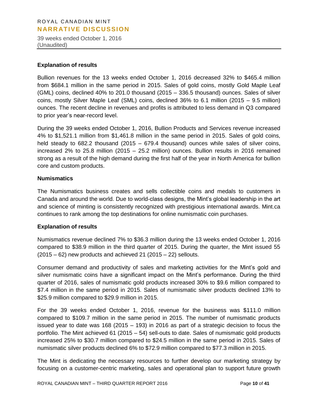39 weeks ended October 1, 2016 (Unaudited)

#### **Explanation of results**

Bullion revenues for the 13 weeks ended October 1, 2016 decreased 32% to \$465.4 million from \$684.1 million in the same period in 2015. Sales of gold coins, mostly Gold Maple Leaf (GML) coins, declined 40% to 201.0 thousand (2015 – 336.5 thousand) ounces. Sales of silver coins, mostly Silver Maple Leaf (SML) coins, declined 36% to 6.1 million (2015 – 9.5 million) ounces. The recent decline in revenues and profits is attributed to less demand in Q3 compared to prior year's near-record level.

During the 39 weeks ended October 1, 2016, Bullion Products and Services revenue increased 4% to \$1,521.1 million from \$1,461.8 million in the same period in 2015. Sales of gold coins, held steady to 682.2 thousand (2015 – 679.4 thousand) ounces while sales of silver coins, increased 2% to 25.8 million (2015 – 25.2 million) ounces. Bullion results in 2016 remained strong as a result of the high demand during the first half of the year in North America for bullion core and custom products.

# **Numismatics**

The Numismatics business creates and sells collectible coins and medals to customers in Canada and around the world. Due to world-class designs, the Mint's global leadership in the art and science of minting is consistently recognized with prestigious international awards. Mint.ca continues to rank among the top destinations for online numismatic coin purchases.

# **Explanation of results**

Numismatics revenue declined 7% to \$36.3 million during the 13 weeks ended October 1, 2016 compared to \$38.9 million in the third quarter of 2015. During the quarter, the Mint issued 55  $(2015 - 62)$  new products and achieved 21  $(2015 - 22)$  sellouts.

Consumer demand and productivity of sales and marketing activities for the Mint's gold and silver numismatic coins have a significant impact on the Mint's performance. During the third quarter of 2016, sales of numismatic gold products increased 30% to \$9.6 million compared to \$7.4 million in the same period in 2015. Sales of numismatic silver products declined 13% to \$25.9 million compared to \$29.9 million in 2015.

For the 39 weeks ended October 1, 2016, revenue for the business was \$111.0 million compared to \$109.7 million in the same period in 2015. The number of numismatic products issued year to date was 168 (2015 – 193) in 2016 as part of a strategic decision to focus the portfolio. The Mint achieved 61 (2015 – 54) sell-outs to date. Sales of numismatic gold products increased 25% to \$30.7 million compared to \$24.5 million in the same period in 2015. Sales of numismatic silver products declined 6% to \$72.9 million compared to \$77.3 million in 2015.

The Mint is dedicating the necessary resources to further develop our marketing strategy by focusing on a customer-centric marketing, sales and operational plan to support future growth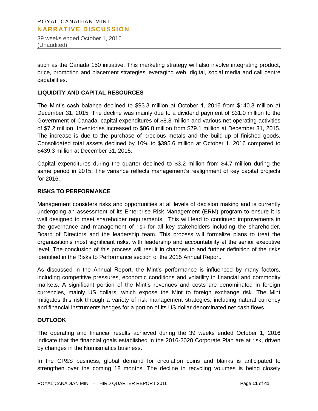39 weeks ended October 1, 2016 (Unaudited)

such as the Canada 150 initiative. This marketing strategy will also involve integrating product, price, promotion and placement strategies leveraging web, digital, social media and call centre capabilities.

# **LIQUIDITY AND CAPITAL RESOURCES**

The Mint's cash balance declined to \$93.3 million at October 1, 2016 from \$140.8 million at December 31, 2015. The decline was mainly due to a dividend payment of \$31.0 million to the Government of Canada, capital expenditures of \$8.8 million and various net operating activities of \$7.2 million. Inventories increased to \$86.8 million from \$79.1 million at December 31, 2015. The increase is due to the purchase of precious metals and the build-up of finished goods. Consolidated total assets declined by 10% to \$395.6 million at October 1, 2016 compared to \$439.3 million at December 31, 2015.

Capital expenditures during the quarter declined to \$3.2 million from \$4.7 million during the same period in 2015. The variance reflects management's realignment of key capital projects for 2016.

# **RISKS TO PERFORMANCE**

Management considers risks and opportunities at all levels of decision making and is currently undergoing an assessment of its Enterprise Risk Management (ERM) program to ensure it is well designed to meet shareholder requirements. This will lead to continued improvements in the governance and management of risk for all key stakeholders including the shareholder, Board of Directors and the leadership team. This process will formalize plans to treat the organization's most significant risks, with leadership and accountability at the senior executive level. The conclusion of this process will result in changes to and further definition of the risks identified in the Risks to Performance section of the 2015 Annual Report.

As discussed in the Annual Report, the Mint's performance is influenced by many factors, including competitive pressures, economic conditions and volatility in financial and commodity markets. A significant portion of the Mint's revenues and costs are denominated in foreign currencies, mainly US dollars, which expose the Mint to foreign exchange risk. The Mint mitigates this risk through a variety of risk management strategies, including natural currency and financial instruments hedges for a portion of its US dollar denominated net cash flows.

# **OUTLOOK**

The operating and financial results achieved during the 39 weeks ended October 1, 2016 indicate that the financial goals established in the 2016-2020 Corporate Plan are at risk, driven by changes in the Numismatics business.

In the CP&S business, global demand for circulation coins and blanks is anticipated to strengthen over the coming 18 months. The decline in recycling volumes is being closely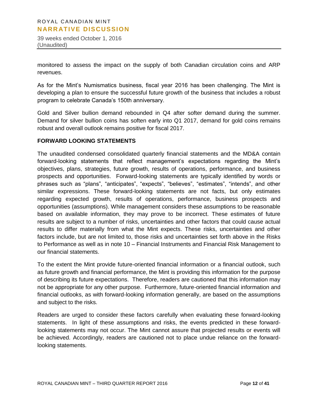39 weeks ended October 1, 2016 (Unaudited)

monitored to assess the impact on the supply of both Canadian circulation coins and ARP revenues.

As for the Mint's Numismatics business, fiscal year 2016 has been challenging. The Mint is developing a plan to ensure the successful future growth of the business that includes a robust program to celebrate Canada's 150th anniversary.

Gold and Silver bullion demand rebounded in Q4 after softer demand during the summer. Demand for silver bullion coins has soften early into Q1 2017, demand for gold coins remains robust and overall outlook remains positive for fiscal 2017.

# **FORWARD LOOKING STATEMENTS**

The unaudited condensed consolidated quarterly financial statements and the MD&A contain forward-looking statements that reflect management's expectations regarding the Mint's objectives, plans, strategies, future growth, results of operations, performance, and business prospects and opportunities. Forward-looking statements are typically identified by words or phrases such as "plans", "anticipates", "expects", "believes", "estimates", "intends", and other similar expressions. These forward-looking statements are not facts, but only estimates regarding expected growth, results of operations, performance, business prospects and opportunities (assumptions). While management considers these assumptions to be reasonable based on available information, they may prove to be incorrect. These estimates of future results are subject to a number of risks, uncertainties and other factors that could cause actual results to differ materially from what the Mint expects. These risks, uncertainties and other factors include, but are not limited to, those risks and uncertainties set forth above in the Risks to Performance as well as in note 10 – Financial Instruments and Financial Risk Management to our financial statements.

To the extent the Mint provide future-oriented financial information or a financial outlook, such as future growth and financial performance, the Mint is providing this information for the purpose of describing its future expectations. Therefore, readers are cautioned that this information may not be appropriate for any other purpose. Furthermore, future-oriented financial information and financial outlooks, as with forward-looking information generally, are based on the assumptions and subject to the risks.

Readers are urged to consider these factors carefully when evaluating these forward-looking statements. In light of these assumptions and risks, the events predicted in these forwardlooking statements may not occur. The Mint cannot assure that projected results or events will be achieved. Accordingly, readers are cautioned not to place undue reliance on the forwardlooking statements.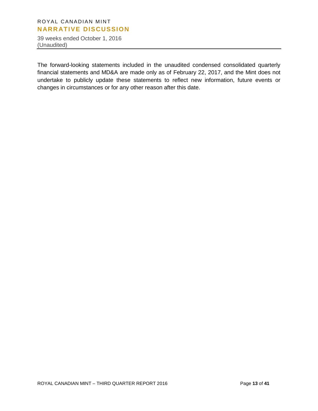39 weeks ended October 1, 2016 (Unaudited)

The forward-looking statements included in the unaudited condensed consolidated quarterly financial statements and MD&A are made only as of February 22, 2017, and the Mint does not undertake to publicly update these statements to reflect new information, future events or changes in circumstances or for any other reason after this date.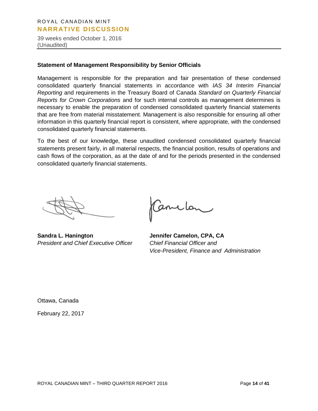39 weeks ended October 1, 2016 (Unaudited)

#### **Statement of Management Responsibility by Senior Officials**

Management is responsible for the preparation and fair presentation of these condensed consolidated quarterly financial statements in accordance with *IAS 34 Interim Financial Reporting* and requirements in the Treasury Board of Canada *Standard on Quarterly Financial Reports for Crown Corporations* and for such internal controls as management determines is necessary to enable the preparation of condensed consolidated quarterly financial statements that are free from material misstatement. Management is also responsible for ensuring all other information in this quarterly financial report is consistent, where appropriate, with the condensed consolidated quarterly financial statements.

To the best of our knowledge, these unaudited condensed consolidated quarterly financial statements present fairly, in all material respects, the financial position, results of operations and cash flows of the corporation, as at the date of and for the periods presented in the condensed consolidated quarterly financial statements.

**Sandra L. Hanington Jennifer Camelon, CPA, CA** *President and Chief Executive Officer Chief Financial Officer and* 

Canclon

*Vice-President, Finance and Administration*

Ottawa, Canada February 22, 2017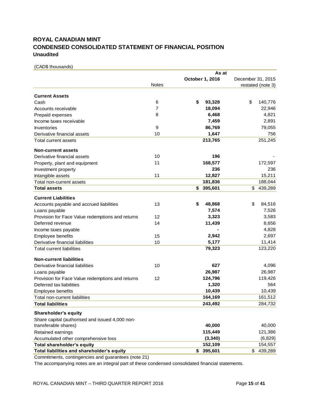# **ROYAL CANADIAN MINT CONDENSED CONSOLIDATED STATEMENT OF FINANCIAL POSITION Unaudited**

(CAD\$ thousands)

|                                                  |                | As at           |                          |
|--------------------------------------------------|----------------|-----------------|--------------------------|
|                                                  |                | October 1, 2016 | December 31, 2015        |
|                                                  | <b>Notes</b>   |                 | restated (note 3)        |
| <b>Current Assets</b>                            |                |                 |                          |
| Cash                                             | 6              | \$<br>93,328    | \$<br>140,776            |
| Accounts receivable                              | $\overline{7}$ | 18,094          | 22,946                   |
| Prepaid expenses                                 | 8              | 6,468           | 4,821                    |
| Income taxes receivable                          |                | 7,459           | 2,891                    |
| Inventories                                      | 9              | 86,769          | 79,055                   |
| Derivative financial assets                      | 10             | 1,647           | 756                      |
| <b>Total current assets</b>                      |                | 213,765         | 251,245                  |
| <b>Non-current assets</b>                        |                |                 |                          |
| Derivative financial assets                      | 10             | 196             |                          |
|                                                  | 11             | 168,577         | 172,597                  |
| Property, plant and equipment                    |                | 236             | 236                      |
| Investment property                              | 11             |                 | 15,211                   |
| Intangible assets                                |                | 12,827          |                          |
| Total non-current assets<br><b>Total assets</b>  |                | 181,836         | 188,044<br>\$<br>439,289 |
|                                                  |                | 395,601<br>S.   |                          |
| <b>Current Liabilities</b>                       |                |                 |                          |
| Accounts payable and accrued liabilities         | 13             | \$<br>48,868    | \$<br>84,516             |
| Loans payable                                    |                | 7,574           | 7,526                    |
| Provision for Face Value redemptions and returns | 12             | 3,323           | 3,583                    |
| Deferred revenue                                 | 14             | 11,439          | 8,656                    |
| Income taxes payable                             |                |                 | 4,828                    |
| Employee benefits                                | 15             | 2,942           | 2,697                    |
| Derivative financial liabilities                 | 10             | 5,177           | 11,414                   |
| <b>Total current liabilities</b>                 |                | 79,323          | 123,220                  |
| <b>Non-current liabilities</b>                   |                |                 |                          |
| Derivative financial liabilities                 | 10             | 627             | 4,096                    |
| Loans payable                                    |                | 26,987          | 26,987                   |
| Provision for Face Value redemptions and returns | 12             | 124,796         | 119,426                  |
| Deferred tax liabilities                         |                | 1,320           | 564                      |
| Employee benefits                                |                | 10,439          | 10,439                   |
| Total non-current liabilities                    |                | 164,169         | 161,512                  |
| <b>Total liabilities</b>                         |                | 243,492         | 284,732                  |
| Shareholder's equity                             |                |                 |                          |
| Share capital (authorised and issued 4,000 non-  |                |                 |                          |
| transferable shares)                             |                | 40,000          | 40,000                   |
| Retained earnings                                |                | 115,449         | 121,386                  |
| Accumulated other comprehensive loss             |                | (3, 340)        | (6,829)                  |
| Total shareholder's equity                       |                | 152,109         | 154,557                  |
| Total liabilities and shareholder's equity       |                | \$<br>395,601   | \$<br>439,289            |
|                                                  |                |                 |                          |

Commitments, contingencies and guarantees (note 21)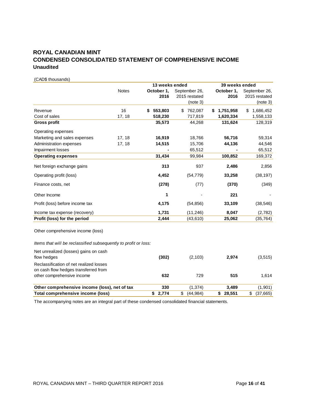# **ROYAL CANADIAN MINT CONDENSED CONSOLIDATED STATEMENT OF COMPREHENSIVE INCOME Unaudited**

(CAD\$ thousands)

|                                                                                 |              | 13 weeks ended |               | 39 weeks ended  |                 |
|---------------------------------------------------------------------------------|--------------|----------------|---------------|-----------------|-----------------|
|                                                                                 | <b>Notes</b> | October 1,     | September 26, | October 1,      | September 26,   |
|                                                                                 |              | 2016           | 2015 restated | 2016            | 2015 restated   |
|                                                                                 |              |                | (note 3)      |                 | (note 3)        |
| Revenue                                                                         | 16           | 553,803<br>S   | 762,087<br>S. | 1,751,958<br>S. | \$<br>1,686,452 |
| Cost of sales                                                                   | 17, 18       | 518,230        | 717,819       | 1,620,334       | 1,558,133       |
| <b>Gross profit</b>                                                             |              | 35,573         | 44,268        | 131,624         | 128,319         |
| Operating expenses                                                              |              |                |               |                 |                 |
| Marketing and sales expenses                                                    | 17, 18       | 16,919         | 18,766        | 56,716          | 59,314          |
| Administration expenses                                                         | 17, 18       | 14,515         | 15,706        | 44,136          | 44,546          |
| Impairment losses                                                               |              |                | 65,512        |                 | 65,512          |
| <b>Operating expenses</b>                                                       |              | 31,434         | 99,984        | 100,852         | 169,372         |
| Net foreign exchange gains                                                      |              | 313            | 937           | 2,486           | 2,856           |
| Operating profit (loss)                                                         |              | 4,452          | (54, 779)     | 33,258          | (38, 197)       |
| Finance costs, net                                                              |              | (278)          | (77)          | (370)           | (349)           |
| Other Income                                                                    |              | 1              |               | 221             |                 |
| Profit (loss) before income tax                                                 |              | 4,175          | (54, 856)     | 33,109          | (38, 546)       |
| Income tax expense (recovery)                                                   |              | 1,731          | (11, 246)     | 8,047           | (2,782)         |
| Profit (loss) for the period                                                    |              | 2,444          | (43, 610)     | 25,062          | (35, 764)       |
| Other comprehensive income (loss)                                               |              |                |               |                 |                 |
| Items that will be reclassified subsequently to profit or loss:                 |              |                |               |                 |                 |
| Net unrealized (losses) gains on cash                                           |              |                |               |                 |                 |
| flow hedges                                                                     |              | (302)          | (2, 103)      | 2,974           | (3,515)         |
| Reclassification of net realized losses<br>on cash flow hedges transferred from |              |                |               |                 |                 |
| other comprehensive income                                                      |              | 632            | 729           | 515             | 1,614           |
| Other comprehensive income (loss), net of tax                                   |              | 330            | (1, 374)      | 3,489           | (1,901)         |

**Total comprehensive income (loss) \$ 2,774** \$ (44,984) **\$ 28,551** \$ (37,665)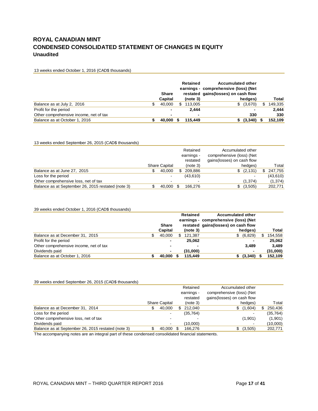# **ROYAL CANADIAN MINT CONDENSED CONSOLIDATED STATEMENT OF CHANGES IN EQUITY Unaudited**

13 weeks ended October 1, 2016 (CAD\$ thousands)

|                                        | <b>Share</b> |   | <b>Retained</b> | <b>Accumulated other</b><br>earnings - comprehensive (loss) (Net<br>restated gains (losses) on cash flow |                          |     |         |
|----------------------------------------|--------------|---|-----------------|----------------------------------------------------------------------------------------------------------|--------------------------|-----|---------|
|                                        | Capital      |   | (note 3)        | hedges)                                                                                                  |                          |     | Total   |
| Balance as at July 2, 2016             | 40.000       | S | 113.005         | \$ (3,670)                                                                                               |                          | \$. | 149,335 |
| Profit for the period                  |              |   | 2.444           |                                                                                                          | $\overline{\phantom{0}}$ |     | 2.444   |
| Other comprehensive income, net of tax |              |   | $\blacksquare$  | 330                                                                                                      |                          |     | 330     |
| Balance as at October 1, 2016          | 40.000       |   | 115,449         | $$^{(3,340)}$$                                                                                           |                          |     | 152,109 |

#### 13 weeks ended September 26, 2015 (CAD\$ thousands)

|                                                    |                      |     | Retained<br>earnings -<br>restated | Accumulated other<br>comprehensive (loss) (Net<br>gains (losses) on cash flow |          |
|----------------------------------------------------|----------------------|-----|------------------------------------|-------------------------------------------------------------------------------|----------|
|                                                    | <b>Share Capital</b> |     | (note 3)                           | hedges)                                                                       | Total    |
| Balance as at June 27, 2015                        | 40,000               | \$. | 209.886                            | \$ (2,131)                                                                    | 247,755  |
| Loss for the period                                |                      |     | (43,610)                           |                                                                               | (43,610) |
| Other comprehensive loss, net of tax               |                      |     |                                    | (1,374)                                                                       | (1, 374) |
| Balance as at September 26, 2015 restated (note 3) | 40.000               |     | 166.276                            | (3,505)                                                                       | 202,771  |

#### 39 weeks ended October 1, 2016 (CAD\$ thousands)

|                                        | Share          |   | Retained             | <b>Accumulated other</b><br>earnings - comprehensive (loss) (Net<br>restated gains (losses) on cash flow |                |               |
|----------------------------------------|----------------|---|----------------------|----------------------------------------------------------------------------------------------------------|----------------|---------------|
|                                        | Capital        |   | (note <sub>3</sub> ) |                                                                                                          | hedges)        | Total         |
| Balance as at December 31, 2015        | 40.000         | S | 121.387              |                                                                                                          | \$ (6,829)     | \$<br>154,558 |
| Profit for the period                  |                |   | 25.062               |                                                                                                          | $\blacksquare$ | 25.062        |
| Other comprehensive income, net of tax | $\blacksquare$ |   | $\blacksquare$       |                                                                                                          | 3.489          | 3.489         |
| Dividends paid                         |                |   | (31,000)             |                                                                                                          | $\blacksquare$ | (31,000)      |
| Balance as at October 1, 2016          | 40.000         |   | 115,449              |                                                                                                          | (3,340)        | 152,109       |

#### 39 weeks ended September 26, 2015 (CAD\$ thousands)

|                                                    |                      |   | Retained<br>earnings - | Accumulated other<br>comprehensive (loss) (Net |           |
|----------------------------------------------------|----------------------|---|------------------------|------------------------------------------------|-----------|
|                                                    |                      |   | restated               | gains(losses) on cash flow                     |           |
|                                                    | <b>Share Capital</b> |   | (note 3)               | hedges)                                        | Total     |
| Balance as at December 31, 2014                    | 40.000               | S | 212.040                | (1,604)<br>SS.                                 | 250.436   |
| Loss for the period                                |                      |   | (35, 764)              |                                                | (35, 764) |
| Other comprehensive loss, net of tax               |                      |   |                        | (1,901)                                        | (1,901)   |
| Dividends paid                                     |                      |   | (10.000)               |                                                | (10,000)  |
| Balance as at September 26, 2015 restated (note 3) | 40,000 \$            |   | 166,276                | (3,505)                                        | 202,771   |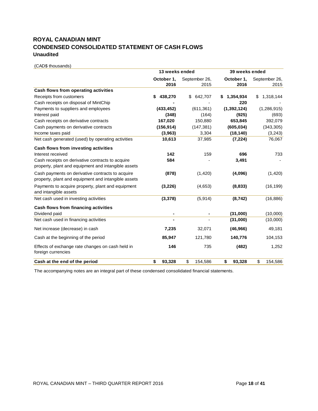# **ROYAL CANADIAN MINT CONDENSED CONSOLIDATED STATEMENT OF CASH FLOWS Unaudited**

(CAD\$ thousands)

|                                                                                                         | 13 weeks ended |               | 39 weeks ended  |                 |  |  |  |
|---------------------------------------------------------------------------------------------------------|----------------|---------------|-----------------|-----------------|--|--|--|
|                                                                                                         | October 1,     | September 26, | October 1,      | September 26,   |  |  |  |
|                                                                                                         | 2016           | 2015          | 2016            | 2015            |  |  |  |
| Cash flows from operating activities                                                                    |                |               |                 |                 |  |  |  |
| Receipts from customers                                                                                 | 438,270<br>\$  | 642,707<br>\$ | 1,354,934<br>5. | 1,318,144<br>\$ |  |  |  |
| Cash receipts on disposal of MintChip                                                                   |                |               | 220             |                 |  |  |  |
| Payments to suppliers and employees                                                                     | (433, 452)     | (611, 361)    | (1, 392, 124)   | (1,286,915)     |  |  |  |
| Interest paid                                                                                           | (348)          | (164)         | (925)           | (693)           |  |  |  |
| Cash receipts on derivative contracts                                                                   | 167,020        | 150,880       | 653,845         | 392,079         |  |  |  |
| Cash payments on derivative contracts                                                                   | (156, 914)     | (147, 381)    | (605, 034)      | (343, 305)      |  |  |  |
| Income taxes paid                                                                                       | (3,963)        | 3,304         | (18, 140)       | (3, 243)        |  |  |  |
| Net cash generated (used) by operating activities                                                       | 10,613         | 37,985        | (7, 224)        | 76,067          |  |  |  |
| Cash flows from investing activities                                                                    |                |               |                 |                 |  |  |  |
| Interest received                                                                                       | 142            | 159           | 696             | 733             |  |  |  |
| Cash receipts on derivative contracts to acquire<br>property, plant and equipment and intangible assets | 584            |               | 3,491           |                 |  |  |  |
| Cash payments on derivative contracts to acquire<br>property, plant and equipment and intangible assets | (878)          | (1,420)       | (4,096)         | (1,420)         |  |  |  |
| Payments to acquire property, plant and equipment<br>and intangible assets                              | (3,226)        | (4,653)       | (8,833)         | (16, 199)       |  |  |  |
| Net cash used in investing activities                                                                   | (3, 378)       | (5,914)       | (8, 742)        | (16, 886)       |  |  |  |
| Cash flows from financing activities                                                                    |                |               |                 |                 |  |  |  |
| Dividend paid                                                                                           |                |               | (31,000)        | (10,000)        |  |  |  |
| Net cash used in financing activities                                                                   |                |               | (31,000)        | (10,000)        |  |  |  |
| Net increase (decrease) in cash                                                                         | 7,235          | 32,071        | (46, 966)       | 49,181          |  |  |  |
| Cash at the beginning of the period                                                                     | 85,947         | 121,780       | 140,776         | 104,153         |  |  |  |
| Effects of exchange rate changes on cash held in<br>foreign currencies                                  | 146            | 735           | (482)           | 1,252           |  |  |  |
| Cash at the end of the period                                                                           | \$<br>93,328   | \$<br>154,586 | \$<br>93,328    | \$<br>154.586   |  |  |  |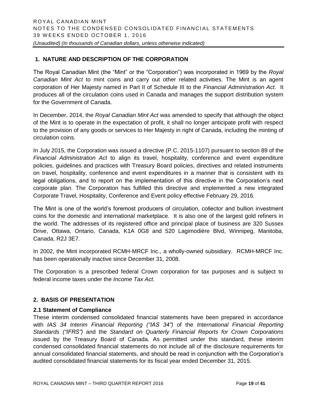# **1. NATURE AND DESCRIPTION OF THE CORPORATION**

The Royal Canadian Mint (the "Mint" or the "Corporation") was incorporated in 1969 by the *Royal Canadian Mint Act* to mint coins and carry out other related activities. The Mint is an agent corporation of Her Majesty named in Part II of Schedule III to the *Financial Administration Act*. It produces all of the circulation coins used in Canada and manages the support distribution system for the Government of Canada.

In December, 2014, the *Royal Canadian Mint Act* was amended to specify that although the object of the Mint is to operate in the expectation of profit, it shall no longer anticipate profit with respect to the provision of any goods or services to Her Majesty in right of Canada, including the minting of circulation coins.

In July 2015, the Corporation was issued a directive (P.C. 2015-1107) pursuant to section 89 of the *Financial Administration Act* to align its travel, hospitality, conference and event expenditure policies, guidelines and practices with Treasury Board policies, directives and related instruments on travel, hospitality, conference and event expenditures in a manner that is consistent with its legal obligations, and to report on the implementation of this directive in the Corporation's next corporate plan. The Corporation has fulfilled this directive and implemented a new integrated Corporate Travel, Hospitality, Conference and Event policy effective February 29, 2016.

The Mint is one of the world's foremost producers of circulation, collector and bullion investment coins for the domestic and international marketplace. It is also one of the largest gold refiners in the world. The addresses of its registered office and principal place of business are 320 Sussex Drive, Ottawa, Ontario, Canada, K1A 0G8 and 520 Lagimodière Blvd, Winnipeg, Manitoba, Canada, R2J 3E7.

In 2002, the Mint incorporated RCMH-MRCF Inc., a wholly-owned subsidiary. RCMH-MRCF Inc. has been operationally inactive since December 31, 2008.

The Corporation is a prescribed federal Crown corporation for tax purposes and is subject to federal income taxes under the *Income Tax Act*.

# **2. BASIS OF PRESENTATION**

# **2.1 Statement of Compliance**

These interim condensed consolidated financial statements have been prepared in accordance with *IAS 34 Interim Financial Reporting ("IAS 34")* of the *International Financial Reporting Standards ("IFRS")* and the *Standard on Quarterly Financial Reports for Crown Corporations* issued by the Treasury Board of Canada. As permitted under this standard, these interim condensed consolidated financial statements do not include all of the disclosure requirements for annual consolidated financial statements, and should be read in conjunction with the Corporation's audited consolidated financial statements for its fiscal year ended December 31, 2015.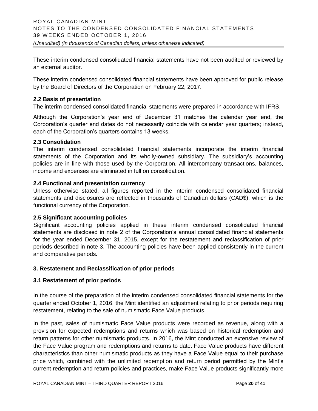These interim condensed consolidated financial statements have not been audited or reviewed by an external auditor.

These interim condensed consolidated financial statements have been approved for public release by the Board of Directors of the Corporation on February 22, 2017.

# **2.2 Basis of presentation**

The interim condensed consolidated financial statements were prepared in accordance with IFRS.

Although the Corporation's year end of December 31 matches the calendar year end, the Corporation's quarter end dates do not necessarily coincide with calendar year quarters; instead, each of the Corporation's quarters contains 13 weeks.

#### **2.3 Consolidation**

The interim condensed consolidated financial statements incorporate the interim financial statements of the Corporation and its wholly-owned subsidiary. The subsidiary's accounting policies are in line with those used by the Corporation. All intercompany transactions, balances, income and expenses are eliminated in full on consolidation.

# **2.4 Functional and presentation currency**

Unless otherwise stated, all figures reported in the interim condensed consolidated financial statements and disclosures are reflected in thousands of Canadian dollars (CAD\$), which is the functional currency of the Corporation.

#### **2.5 Significant accounting policies**

Significant accounting policies applied in these interim condensed consolidated financial statements are disclosed in note 2 of the Corporation's annual consolidated financial statements for the year ended December 31, 2015, except for the restatement and reclassification of prior periods described in note 3. The accounting policies have been applied consistently in the current and comparative periods.

#### **3. Restatement and Reclassification of prior periods**

#### **3.1 Restatement of prior periods**

In the course of the preparation of the interim condensed consolidated financial statements for the quarter ended October 1, 2016, the Mint identified an adjustment relating to prior periods requiring restatement, relating to the sale of numismatic Face Value products.

In the past, sales of numismatic Face Value products were recorded as revenue, along with a provision for expected redemptions and returns which was based on historical redemption and return patterns for other numismatic products. In 2016, the Mint conducted an extensive review of the Face Value program and redemptions and returns to date. Face Value products have different characteristics than other numismatic products as they have a Face Value equal to their purchase price which, combined with the unlimited redemption and return period permitted by the Mint's current redemption and return policies and practices, make Face Value products significantly more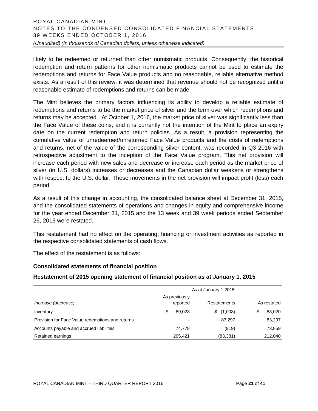likely to be redeemed or returned than other numismatic products. Consequently, the historical redemption and return patterns for other numismatic products cannot be used to estimate the redemptions and returns for Face Value products and no reasonable, reliable alternative method exists. As a result of this review, it was determined that revenue should not be recognized until a reasonable estimate of redemptions and returns can be made.

The Mint believes the primary factors influencing its ability to develop a reliable estimate of redemptions and returns to be the market price of silver and the term over which redemptions and returns may be accepted. At October 1, 2016, the market price of silver was significantly less than the Face Value of these coins, and it is currently not the intention of the Mint to place an expiry date on the current redemption and return policies. As a result, a provision representing the cumulative value of unredeemed/unreturned Face Value products and the costs of redemptions and returns, net of the value of the corresponding silver content, was recorded in Q3 2016 with retrospective adjustment to the inception of the Face Value program. This net provision will increase each period with new sales and decrease or increase each period as the market price of silver (in U.S. dollars) increases or decreases and the Canadian dollar weakens or strengthens with respect to the U.S. dollar. These movements in the net provision will impact profit (loss) each period.

As a result of this change in accounting, the consolidated balance sheet at December 31, 2015, and the consolidated statements of operations and changes in equity and comprehensive income for the year ended December 31, 2015 and the 13 week and 39 week periods ended September 26, 2015 were restated.

This restatement had no effect on the operating, financing or investment activities as reported in the respective consolidated statements of cash flows.

The effect of the restatement is as follows:

# **Consolidated statements of financial position**

# **Restatement of 2015 opening statement of financial position as at January 1, 2015**

|                                                  | As at January 1,2015 |                           |   |              |  |             |  |  |  |  |  |  |
|--------------------------------------------------|----------------------|---------------------------|---|--------------|--|-------------|--|--|--|--|--|--|
| Increase (decrease)                              |                      | As previously<br>reported |   | Restatements |  | As restated |  |  |  |  |  |  |
| Inventory                                        | \$                   | 89.023                    | S | (1,003)      |  | 88,020      |  |  |  |  |  |  |
| Provision for Face Value redemptions and returns |                      | $\overline{\phantom{a}}$  |   | 83,297       |  | 83,297      |  |  |  |  |  |  |
| Accounts payable and accrued liabilities         |                      | 74,778                    |   | (919)        |  | 73,859      |  |  |  |  |  |  |
| Retained earnings                                |                      | 295.421                   |   | (83, 381)    |  | 212,040     |  |  |  |  |  |  |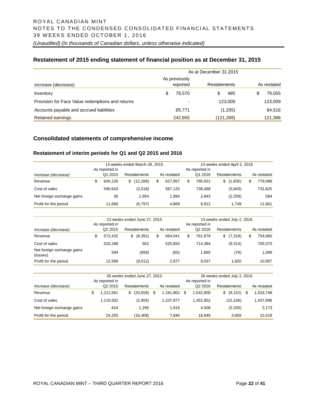# **Restatement of 2015 ending statement of financial position as at December 31, 2015**

|                                                  |               | As at December 31,2015   |              |            |             |
|--------------------------------------------------|---------------|--------------------------|--------------|------------|-------------|
|                                                  | As previously |                          |              |            |             |
| Increase (decrease)                              |               | reported                 | Restatements |            | As restated |
| Inventory                                        | \$.           | 78.570                   | S            | 485        | 79,055      |
| Provision for Face Value redemptions and returns |               | $\overline{\phantom{a}}$ |              | 123.009    | 123,009     |
| Accounts payable and accrued liabilities         |               | 85,771                   |              | (1,255)    | 84,516      |
| Retained earnings                                |               | 242.655                  |              | (121, 269) | 121,386     |

# **Consolidated statements of comprehensive income**

#### **Restatement of interim periods for Q1 and Q2 2015 and 2016**

|                            | 13 weeks ended March 28, 2015 |                                           |   |           |   |             |    |                           | 13 weeks ended April 2, 2016 |                     |  |             |  |  |  |
|----------------------------|-------------------------------|-------------------------------------------|---|-----------|---|-------------|----|---------------------------|------------------------------|---------------------|--|-------------|--|--|--|
| Increase (decrease)        |                               | As reported in<br>Q1 2015<br>Restatements |   |           |   | As restated |    | As reported in<br>Q1 2016 |                              | <b>Restatements</b> |  | As restated |  |  |  |
| Revenue                    |                               | 640.126                                   | S | (12, 269) | S | 627.857     | \$ | 780.921                   | S                            | (1,835)             |  | 779.086     |  |  |  |
| Cost of sales              |                               | 590.643                                   |   | (3,518)   |   | 587.125     |    | 738.468                   |                              | (5,843)             |  | 732.625     |  |  |  |
| Net foreign exchange gains |                               | 30                                        |   | 1.954     |   | 1.984       |    | 2.843                     |                              | (2,259)             |  | 584         |  |  |  |
| Profit for the period      |                               | 11.666                                    |   | (6,797)   |   | 4,869       |    | 9.912                     |                              | 1.749               |  | 11.661      |  |  |  |

|                                        | 13 weeks ended June 27, 2015<br>13 weeks ended July 2, 2016 |   |              |   |             |    |                     |   |              |  |             |
|----------------------------------------|-------------------------------------------------------------|---|--------------|---|-------------|----|---------------------|---|--------------|--|-------------|
|                                        | As reported in                                              |   |              |   |             |    | As reported in      |   |              |  |             |
| Increase (decrease)                    | Q <sub>2</sub> 2015                                         |   | Restatements |   | As restated |    | Q <sub>2</sub> 2016 |   | Restatements |  | As restated |
| Revenue                                | 572.432                                                     | S | (8,391)      | S | 564.041     | \$ | 761.978             | S | (7,318)      |  | 754.660     |
| Cost of sales                          | 520.288                                                     |   | 562          |   | 520.850     |    | 714.384             |   | (9,314)      |  | 705.070     |
| Net foreign exchange gains<br>(losses) | 594                                                         |   | (659)        |   | (65)        |    | 1.665               |   | (76)         |  | 1,589       |
| Profit for the period                  | 12.589                                                      |   | (9,612)      |   | 2.977       |    | 9.037               |   | 1.920        |  | 10.957      |

|                            |                     |    | 26 weeks ended June 27, 2015 |  | 26 weeks ended July 2, 2016 |                |                     |    |                     |   |             |
|----------------------------|---------------------|----|------------------------------|--|-----------------------------|----------------|---------------------|----|---------------------|---|-------------|
|                            | As reported in      |    |                              |  |                             | As reported in |                     |    |                     |   |             |
| Increase (decrease)        | Q <sub>2</sub> 2015 |    | Restatements                 |  | As restated                 |                | Q <sub>2</sub> 2016 |    | <b>Restatements</b> |   | As restated |
| Revenue                    | \$<br>1.212.561     | S. | (20, 659)                    |  | 1.191.902                   | \$             | 1.542.900           | \$ | (9, 152)            | S | 1,533,748   |
| Cost of sales              | 1,110,932           |    | (2,955)                      |  | 1.107.977                   |                | 1.452.852           |    | (15,156)            |   | 1,437,696   |
| Net foreign exchange gains | 624                 |    | 1.295                        |  | 1.919                       |                | 4.508               |    | (2,335)             |   | 2,173       |
| Profit for the period      | 24.255              |    | (16, 409)                    |  | 7.846                       |                | 18.949              |    | 3.669               |   | 22,618      |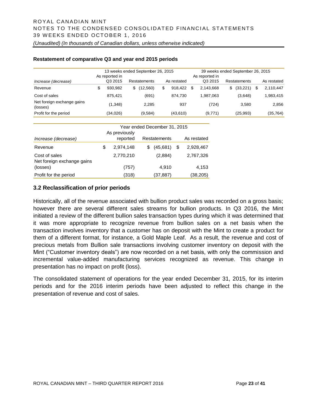#### **Restatement of comparative Q3 and year end 2015 periods**

|                                        | 13 weeks ended September 26, 2015 |     |              | 39 weeks ended September 26, 2015 |             |                 |                     |   |             |
|----------------------------------------|-----------------------------------|-----|--------------|-----------------------------------|-------------|-----------------|---------------------|---|-------------|
|                                        | As reported in                    |     |              |                                   |             | As reported in  |                     |   |             |
| Increase (decrease)                    | Q3 2015                           |     | Restatements |                                   | As restated | Q3 2015         | <b>Restatements</b> |   | As restated |
| Revenue                                | 930.982                           | \$. | (12,560)     | \$                                | 918.422     | \$<br>2.143.668 | \$<br>(33, 221)     | S | 2,110,447   |
| Cost of sales                          | 875.421                           |     | (691)        |                                   | 874.730     | 1.987.063       | (3.648)             |   | 1,983,415   |
| Net foreign exchange gains<br>(losses) | (1,348)                           |     | 2.285        |                                   | 937         | (724)           | 3.580               |   | 2,856       |
| Profit for the period                  | (34,026)                          |     | (9,584)      |                                   | (43,610)    | (9,771)         | (25,993)            |   | (35, 764)   |

|                            |                 |   | Year ended December 31, 2015 |                 |
|----------------------------|-----------------|---|------------------------------|-----------------|
|                            | As previously   |   |                              |                 |
| Increase (decrease)        | reported        |   | Restatements                 | As restated     |
| Revenue                    | \$<br>2,974,148 | S | (45,681)                     | \$<br>2,928,467 |
| Cost of sales              | 2,770,210       |   | (2,884)                      | 2,767,326       |
| Net foreign exchange gains |                 |   |                              |                 |
| (losses)                   | (757)           |   | 4.910                        | 4,153           |
| Profit for the period      | (318)           |   | (37,887)                     | (38,205)        |

# **3.2 Reclassification of prior periods**

Historically, all of the revenue associated with bullion product sales was recorded on a gross basis; however there are several different sales streams for bullion products. In Q3 2016, the Mint initiated a review of the different bullion sales transaction types during which it was determined that it was more appropriate to recognize revenue from bullion sales on a net basis when the transaction involves inventory that a customer has on deposit with the Mint to create a product for them of a different format, for instance, a Gold Maple Leaf. As a result, the revenue and cost of precious metals from Bullion sale transactions involving customer inventory on deposit with the Mint ("Customer inventory deals") are now recorded on a net basis, with only the commission and incremental value-added manufacturing services recognized as revenue. This change in presentation has no impact on profit (loss).

The consolidated statement of operations for the year ended December 31, 2015, for its interim periods and for the 2016 interim periods have been adjusted to reflect this change in the presentation of revenue and cost of sales.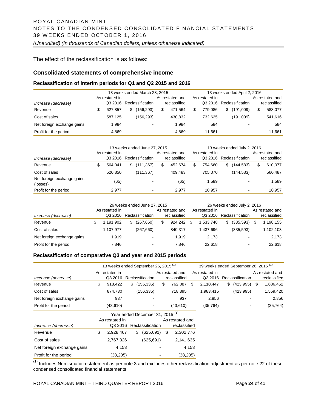The effect of the reclassification is as follows:

#### **Consolidated statements of comprehensive income**

#### **Reclassification of interim periods for Q1 and Q2 2015 and 2016**

|                            | 13 weeks ended March 28, 2015 |                |    |                  |  |                 |    |                | 13 weeks ended April 2, 2016 |                 |
|----------------------------|-------------------------------|----------------|----|------------------|--|-----------------|----|----------------|------------------------------|-----------------|
|                            |                               | As restated in |    |                  |  | As restated and |    | As restated in |                              | As restated and |
| Increase (decrease)        |                               | Q3 2016        |    | Reclassification |  | reclassified    |    | Q3 2016        | Reclassification             | reclassified    |
| Revenue                    |                               | 627.857        | \$ | (156,293)        |  | 471.564         | \$ | 779.086        | \$<br>(191,009)              | 588.077         |
| Cost of sales              |                               | 587.125        |    | (156, 293)       |  | 430.832         |    | 732.625        | (191,009)                    | 541.616         |
| Net foreign exchange gains |                               | 1.984          |    |                  |  | 1.984           |    | 584            | $\overline{\phantom{a}}$     | 584             |
| Profit for the period      |                               | 4.869          |    |                  |  | 4.869           |    | 11.661         | -                            | 11.661          |

|                                        | 13 weeks ended June 27, 2015 |                  |    | 13 weeks ended July 2, 2016 |                |                  |  |                 |
|----------------------------------------|------------------------------|------------------|----|-----------------------------|----------------|------------------|--|-----------------|
|                                        | As restated in               |                  |    | As restated and             | As restated in |                  |  | As restated and |
| Increase (decrease)                    | Q3 2016                      | Reclassification |    | reclassified                | Q3 2016        | Reclassification |  | reclassified    |
| Revenue                                | 564.041                      | \$<br>(111, 367) | \$ | 452.674                     | \$<br>754.660  | \$<br>(144,583)  |  | 610,077         |
| Cost of sales                          | 520.850                      | (111, 367)       |    | 409.483                     | 705.070        | (144,583)        |  | 560,487         |
| Net foreign exchange gains<br>(losses) | (65)                         |                  |    | (65)                        | 1.589          | -                |  | 1.589           |
| Profit for the period                  | 2.977                        | ۰                |    | 2.977                       | 10.957         | ٠                |  | 10.957          |

|                            |                |           | 26 weeks ended June 27, 2015 |                  |                 |              | 26 weeks ended July 2, 2016 |                |                  |                 |
|----------------------------|----------------|-----------|------------------------------|------------------|-----------------|--------------|-----------------------------|----------------|------------------|-----------------|
|                            | As restated in |           |                              |                  | As restated and |              |                             | As restated in |                  | As restated and |
| Increase (decrease)        |                | Q3 2016   |                              | Reclassification |                 | reclassified |                             | Q3 2016        | Reclassification | reclassified    |
| Revenue                    | \$             | 1,191,902 | \$                           | (267, 660)       | \$              | 924.242      | S                           | 1.533.748      | \$<br>(335,593)  | 1,198,155       |
| Cost of sales              |                | 1.107.977 |                              | (267,660)        |                 | 840.317      |                             | 1.437.696      | (335, 593)       | 1,102,103       |
| Net foreign exchange gains |                | 1,919     |                              | -                |                 | 1.919        |                             | 2,173          | -                | 2,173           |
| Profit for the period      |                | 7.846     |                              |                  |                 | 7.846        |                             | 22.618         | ٠                | 22.618          |

#### **Reclassification of comparative Q3 and year end 2015 periods**

|                            | 13 weeks ended September 26, 2015 <sup>(1)</sup> |                |    |                                             |  |    |                 |       | 39 weeks ended September 26, 2015 <sup>(1)</sup> |    |                  |                 |
|----------------------------|--------------------------------------------------|----------------|----|---------------------------------------------|--|----|-----------------|-------|--------------------------------------------------|----|------------------|-----------------|
|                            |                                                  | As restated in |    |                                             |  |    | As restated and |       | As restated in                                   |    |                  | As restated and |
| Increase (decrease)        |                                                  |                |    | Q3 2016 Reclassification                    |  |    | reclassified    |       | Q3 2016                                          |    | Reclassification | reclassified    |
| Revenue                    | \$                                               | 918,422        | \$ | (156, 335)                                  |  | S  | 762,087         | S     | 2,110,447                                        | S. | (423, 995)       | \$<br>1,686,452 |
| Cost of sales              |                                                  | 874,730        |    | (156, 335)                                  |  |    | 718,395         |       | 1,983,415                                        |    | (423, 995)       | 1,559,420       |
| Net foreign exchange gains |                                                  | 937            |    |                                             |  |    | 937             |       | 2,856                                            |    |                  | 2,856           |
| Profit for the period      |                                                  | (43, 610)      |    |                                             |  |    | (43,610)        |       | (35, 764)                                        |    |                  | (35, 764)       |
|                            |                                                  |                |    | Year ended December 31, 2015 <sup>(1)</sup> |  |    |                 |       |                                                  |    |                  |                 |
|                            |                                                  | As restated in |    |                                             |  |    | As restated and |       |                                                  |    |                  |                 |
| Increase (decrease)        |                                                  | Q3 2016        |    | Reclassification                            |  |    | reclassified    |       |                                                  |    |                  |                 |
| Revenue                    | \$                                               | 2,928,467      |    | (625, 691)<br>\$                            |  | \$ | 2,302,776       |       |                                                  |    |                  |                 |
| Cost of sales              |                                                  | 2,767,326      |    | (625, 691)                                  |  |    | 2,141,635       |       |                                                  |    |                  |                 |
| Net foreign exchange gains |                                                  | 4,153          |    |                                             |  |    |                 | 4,153 |                                                  |    |                  |                 |
| Profit for the period      |                                                  | (38,205)       |    |                                             |  |    | (38, 205)       |       |                                                  |    |                  |                 |

 $(1)$  Includes Numismatic restatement as per note 3 and excludes other reclassification adjustment as per note 22 of these condensed consolidated financial statements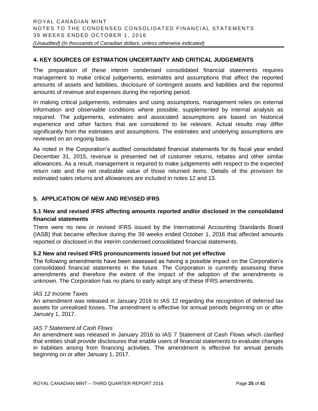# **4. KEY SOURCES OF ESTIMATION UNCERTAINTY AND CRITICAL JUDGEMENTS**

The preparation of these interim condensed consolidated financial statements requires management to make critical judgements, estimates and assumptions that affect the reported amounts of assets and liabilities, disclosure of contingent assets and liabilities and the reported amounts of revenue and expenses during the reporting period.

In making critical judgements, estimates and using assumptions, management relies on external information and observable conditions where possible, supplemented by internal analysis as required. The judgements, estimates and associated assumptions are based on historical experience and other factors that are considered to be relevant. Actual results may differ significantly from the estimates and assumptions. The estimates and underlying assumptions are reviewed on an ongoing basis.

As noted in the Corporation's audited consolidated financial statements for its fiscal year ended December 31, 2015, revenue is presented net of customer returns, rebates and other similar allowances. As a result, management is required to make judgements with respect to the expected return rate and the net realizable value of those returned items. Details of the provision for estimated sales returns and allowances are included in notes 12 and 13.

# **5. APPLICATION OF NEW AND REVISED IFRS**

# **5.1 New and revised IFRS affecting amounts reported and/or disclosed in the consolidated financial statements**

There were no new or revised IFRS issued by the International Accounting Standards Board (IASB) that became effective during the 39 weeks ended October 1, 2016 that affected amounts reported or disclosed in the interim condensed consolidated financial statements.

# **5.2 New and revised IFRS pronouncements issued but not yet effective**

The following amendments have been assessed as having a possible impact on the Corporation's consolidated financial statements in the future. The Corporation is currently assessing these amendments and therefore the extent of the impact of the adoption of the amendments is unknown. The Corporation has no plans to early adopt any of these IFRS amendments.

#### *IAS 12 Income Taxes*

An amendment was released in January 2016 to IAS 12 regarding the recognition of deferred tax assets for unrealised losses. The amendment is effective for annual periods beginning on or after January 1, 2017.

#### *IAS 7 Statement of Cash Flows*

An amendment was released in January 2016 to IAS 7 Statement of Cash Flows which clarified that entities shall provide disclosures that enable users of financial statements to evaluate changes in liabilities arising from financing activities. The amendment is effective for annual periods beginning on or after January 1, 2017.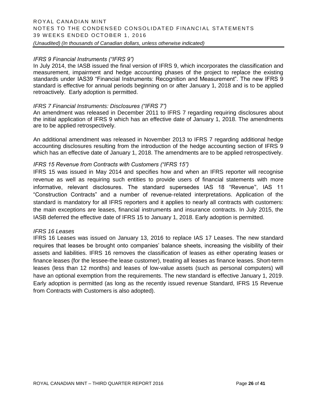# *IFRS 9 Financial Instruments ("IFRS 9")*

In July 2014, the IASB issued the final version of IFRS 9, which incorporates the classification and measurement, impairment and hedge accounting phases of the project to replace the existing standards under IAS39 "Financial Instruments: Recognition and Measurement". The new IFRS 9 standard is effective for annual periods beginning on or after January 1, 2018 and is to be applied retroactively. Early adoption is permitted.

# *IFRS 7 Financial Instruments: Disclosures ("IFRS 7")*

An amendment was released in December 2011 to IFRS 7 regarding requiring disclosures about the initial application of IFRS 9 which has an effective date of January 1, 2018. The amendments are to be applied retrospectively.

An additional amendment was released in November 2013 to IFRS 7 regarding additional hedge accounting disclosures resulting from the introduction of the hedge accounting section of IFRS 9 which has an effective date of January 1, 2018. The amendments are to be applied retrospectively.

# *IFRS 15 Revenue from Contracts with Customers ("IFRS 15")*

IFRS 15 was issued in May 2014 and specifies how and when an IFRS reporter will recognise revenue as well as requiring such entities to provide users of financial statements with more informative, relevant disclosures. The standard supersedes IAS 18 "Revenue'', IAS 11 "Construction Contracts" and a number of revenue-related interpretations. Application of the standard is mandatory for all IFRS reporters and it applies to nearly all contracts with customers: the main exceptions are leases, financial instruments and insurance contracts. In July 2015, the IASB deferred the effective date of IFRS 15 to January 1, 2018. Early adoption is permitted.

#### *IFRS 16 Leases*

IFRS 16 Leases was issued on January 13, 2016 to replace IAS 17 Leases. The new standard requires that leases be brought onto companies' balance sheets, increasing the visibility of their assets and liabilities. IFRS 16 removes the classification of leases as either operating leases or finance leases (for the lessee-the lease customer), treating all leases as finance leases. Short-term leases (less than 12 months) and leases of low-value assets (such as personal computers) will have an optional exemption from the requirements. The new standard is effective January 1, 2019. Early adoption is permitted (as long as the recently issued revenue Standard, IFRS 15 Revenue from Contracts with Customers is also adopted).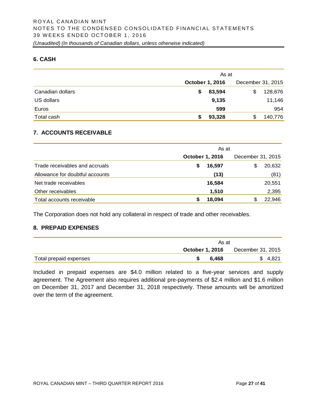# **6. CASH**

|                  | As at                  |                   |  |  |  |
|------------------|------------------------|-------------------|--|--|--|
|                  | <b>October 1, 2016</b> | December 31, 2015 |  |  |  |
| Canadian dollars | 83,594<br>\$           | 128,676<br>\$     |  |  |  |
| US dollars       | 9,135                  | 11,146            |  |  |  |
| Euros            | 599                    | 954               |  |  |  |
| Total cash       | 93,328                 | 140,776<br>S      |  |  |  |

# **7. ACCOUNTS RECEIVABLE**

|                                 | As at                  |                   |  |  |  |  |
|---------------------------------|------------------------|-------------------|--|--|--|--|
|                                 | <b>October 1, 2016</b> | December 31, 2015 |  |  |  |  |
| Trade receivables and accruals  | 16,597<br>S            | 20,632<br>\$      |  |  |  |  |
| Allowance for doubtful accounts | (13)                   | (81)              |  |  |  |  |
| Net trade receivables           | 16,584                 | 20,551            |  |  |  |  |
| Other receivables               | 1,510                  | 2,395             |  |  |  |  |
| Total accounts receivable       | 18,094                 | 22,946<br>\$      |  |  |  |  |

The Corporation does not hold any collateral in respect of trade and other receivables.

# **8. PREPAID EXPENSES**

|                        | As at |                                          |  |  |  |
|------------------------|-------|------------------------------------------|--|--|--|
|                        |       | <b>October 1, 2016</b> December 31, 2015 |  |  |  |
| Total prepaid expenses | 6.468 | \$4.821                                  |  |  |  |

Included in prepaid expenses are \$4.0 million related to a five-year services and supply agreement. The Agreement also requires additional pre-payments of \$2.4 million and \$1.6 million on December 31, 2017 and December 31, 2018 respectively. These amounts will be amortized over the term of the agreement.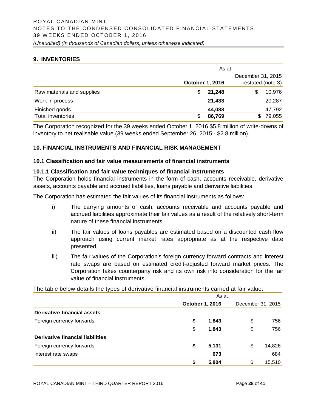# **9. INVENTORIES**

|                            | As at           |                   |  |  |  |
|----------------------------|-----------------|-------------------|--|--|--|
|                            |                 | December 31, 2015 |  |  |  |
|                            | October 1, 2016 | restated (note 3) |  |  |  |
| Raw materials and supplies | 21,248<br>S     | 10,976<br>\$      |  |  |  |
| Work in process            | 21,433          | 20,287            |  |  |  |
| Finished goods             | 44,088          | 47,792            |  |  |  |
| <b>Total inventories</b>   | 86,769          | 79,055<br>SS.     |  |  |  |

The Corporation recognized for the 39 weeks ended October 1, 2016 \$5.8 million of write-downs of inventory to net realisable value (39 weeks ended September 26, 2015 - \$2.8 million).

# **10. FINANCIAL INSTRUMENTS AND FINANCIAL RISK MANAGEMENT**

#### **10.1 Classification and fair value measurements of financial instruments**

#### **10.1.1 Classification and fair value techniques of financial instruments**

The Corporation holds financial instruments in the form of cash, accounts receivable, derivative assets, accounts payable and accrued liabilities, loans payable and derivative liabilities.

The Corporation has estimated the fair values of its financial instruments as follows:

- i) The carrying amounts of cash, accounts receivable and accounts payable and accrued liabilities approximate their fair values as a result of the relatively short-term nature of these financial instruments.
- ii) The fair values of loans payables are estimated based on a discounted cash flow approach using current market rates appropriate as at the respective date presented.
- iii) The fair values of the Corporation's foreign currency forward contracts and interest rate swaps are based on estimated credit-adjusted forward market prices. The Corporation takes counterparty risk and its own risk into consideration for the fair value of financial instruments.

The table below details the types of derivative financial instruments carried at fair value:

|                                  | As at                  |    |                   |  |
|----------------------------------|------------------------|----|-------------------|--|
|                                  | <b>October 1, 2016</b> |    | December 31, 2015 |  |
| Derivative financial assets      |                        |    |                   |  |
| Foreign currency forwards        | \$<br>1,843            | \$ | 756               |  |
|                                  | \$<br>1,843            | \$ | 756               |  |
| Derivative financial liabilities |                        |    |                   |  |
| Foreign currency forwards        | \$<br>5,131            | \$ | 14,826            |  |
| Interest rate swaps              | 673                    |    | 684               |  |
|                                  | \$<br>5,804            | \$ | 15,510            |  |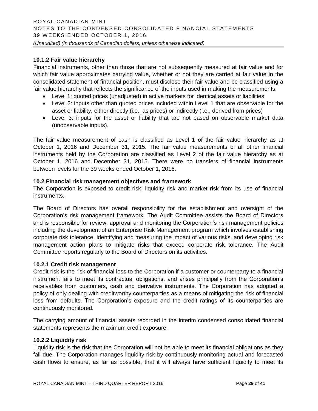# **10.1.2 Fair value hierarchy**

Financial instruments, other than those that are not subsequently measured at fair value and for which fair value approximates carrying value, whether or not they are carried at fair value in the consolidated statement of financial position, must disclose their fair value and be classified using a fair value hierarchy that reflects the significance of the inputs used in making the measurements:

- Level 1: quoted prices (unadjusted) in active markets for identical assets or liabilities
- Level 2: inputs other than quoted prices included within Level 1 that are observable for the asset or liability, either directly (i.e., as prices) or indirectly (i.e., derived from prices)
- Level 3: inputs for the asset or liability that are not based on observable market data (unobservable inputs).

The fair value measurement of cash is classified as Level 1 of the fair value hierarchy as at October 1, 2016 and December 31, 2015. The fair value measurements of all other financial instruments held by the Corporation are classified as Level 2 of the fair value hierarchy as at October 1, 2016 and December 31, 2015. There were no transfers of financial instruments between levels for the 39 weeks ended October 1, 2016.

# **10.2 Financial risk management objectives and framework**

The Corporation is exposed to credit risk, liquidity risk and market risk from its use of financial instruments.

The Board of Directors has overall responsibility for the establishment and oversight of the Corporation's risk management framework. The Audit Committee assists the Board of Directors and is responsible for review, approval and monitoring the Corporation's risk management policies including the development of an Enterprise Risk Management program which involves establishing corporate risk tolerance, identifying and measuring the impact of various risks, and developing risk management action plans to mitigate risks that exceed corporate risk tolerance. The Audit Committee reports regularly to the Board of Directors on its activities.

# **10.2.1 Credit risk management**

Credit risk is the risk of financial loss to the Corporation if a customer or counterparty to a financial instrument fails to meet its contractual obligations, and arises principally from the Corporation's receivables from customers, cash and derivative instruments. The Corporation has adopted a policy of only dealing with creditworthy counterparties as a means of mitigating the risk of financial loss from defaults. The Corporation's exposure and the credit ratings of its counterparties are continuously monitored.

The carrying amount of financial assets recorded in the interim condensed consolidated financial statements represents the maximum credit exposure.

#### **10.2.2 Liquidity risk**

Liquidity risk is the risk that the Corporation will not be able to meet its financial obligations as they fall due. The Corporation manages liquidity risk by continuously monitoring actual and forecasted cash flows to ensure, as far as possible, that it will always have sufficient liquidity to meet its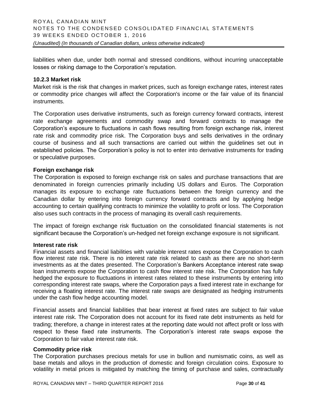liabilities when due, under both normal and stressed conditions, without incurring unacceptable losses or risking damage to the Corporation's reputation.

# **10.2.3 Market risk**

Market risk is the risk that changes in market prices, such as foreign exchange rates, interest rates or commodity price changes will affect the Corporation's income or the fair value of its financial instruments.

The Corporation uses derivative instruments, such as foreign currency forward contracts, interest rate exchange agreements and commodity swap and forward contracts to manage the Corporation's exposure to fluctuations in cash flows resulting from foreign exchange risk, interest rate risk and commodity price risk. The Corporation buys and sells derivatives in the ordinary course of business and all such transactions are carried out within the guidelines set out in established policies. The Corporation's policy is not to enter into derivative instruments for trading or speculative purposes.

# **Foreign exchange risk**

The Corporation is exposed to foreign exchange risk on sales and purchase transactions that are denominated in foreign currencies primarily including US dollars and Euros. The Corporation manages its exposure to exchange rate fluctuations between the foreign currency and the Canadian dollar by entering into foreign currency forward contracts and by applying hedge accounting to certain qualifying contracts to minimize the volatility to profit or loss. The Corporation also uses such contracts in the process of managing its overall cash requirements.

The impact of foreign exchange risk fluctuation on the consolidated financial statements is not significant because the Corporation's un-hedged net foreign exchange exposure is not significant.

#### **Interest rate risk**

Financial assets and financial liabilities with variable interest rates expose the Corporation to cash flow interest rate risk. There is no interest rate risk related to cash as there are no short-term investments as at the dates presented. The Corporation's Bankers Acceptance interest rate swap loan instruments expose the Corporation to cash flow interest rate risk. The Corporation has fully hedged the exposure to fluctuations in interest rates related to these instruments by entering into corresponding interest rate swaps, where the Corporation pays a fixed interest rate in exchange for receiving a floating interest rate. The interest rate swaps are designated as hedging instruments under the cash flow hedge accounting model.

Financial assets and financial liabilities that bear interest at fixed rates are subject to fair value interest rate risk. The Corporation does not account for its fixed rate debt instruments as held for trading; therefore, a change in interest rates at the reporting date would not affect profit or loss with respect to these fixed rate instruments. The Corporation's interest rate swaps expose the Corporation to fair value interest rate risk.

#### **Commodity price risk**

The Corporation purchases precious metals for use in bullion and numismatic coins, as well as base metals and alloys in the production of domestic and foreign circulation coins. Exposure to volatility in metal prices is mitigated by matching the timing of purchase and sales, contractually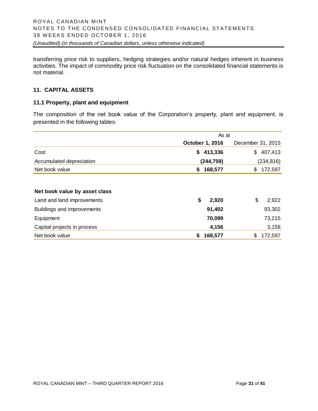transferring price risk to suppliers, hedging strategies and/or natural hedges inherent in business activities. The impact of commodity price risk fluctuation on the consolidated financial statements is not material.

# **11. CAPITAL ASSETS**

#### **11.1 Property, plant and equipment**

The composition of the net book value of the Corporation's property, plant and equipment, is presented in the following tables:

|                               | As at           |                   |  |  |
|-------------------------------|-----------------|-------------------|--|--|
|                               | October 1, 2016 | December 31, 2015 |  |  |
| Cost                          | 413,336<br>\$   | 407,413<br>\$     |  |  |
| Accumulated depreciation      | (244,759)       | (234, 816)        |  |  |
| Net book value                | 168,577<br>\$   | 172,597<br>\$     |  |  |
|                               |                 |                   |  |  |
| Net book value by asset class |                 |                   |  |  |
| Land and land improvements    | \$<br>2,920     | \$<br>2,922       |  |  |
| Buildings and improvements    | 91,402          | 93,302            |  |  |
| Equipment                     | 70,099          | 73,215            |  |  |
| Capital projects in process   | 4,156           | 3,158             |  |  |
| Net book value                | \$<br>168,577   | 172,597<br>\$     |  |  |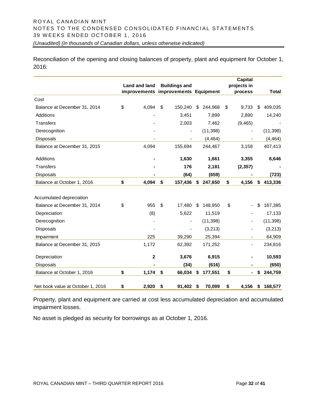# ROYAL CANADIAN MINT NOTES TO THE CONDENSED CONSOLIDATED FINANCIAL STATEMENTS 39 WEEKS ENDED OCTOBER 1, 2016 *(Unaudited) (In thousands of Canadian dollars, unless otherwise indicated)*

Reconciliation of the opening and closing balances of property, plant and equipment for October 1, 2016:

|                                                                          | Land and land    | <b>Buildings and</b><br>improvements improvements Equipment |                         | <b>Capital</b><br>projects in<br>process | <b>Total</b>            |
|--------------------------------------------------------------------------|------------------|-------------------------------------------------------------|-------------------------|------------------------------------------|-------------------------|
| Cost                                                                     |                  |                                                             |                         |                                          |                         |
| Balance at December 31, 2014                                             | \$<br>4,094      | \$<br>150,240                                               | \$<br>244,968           | \$<br>9,733                              | \$<br>409,035           |
| Additions                                                                |                  | 3,451                                                       | 7,899                   | 2,890                                    | 14,240                  |
| <b>Transfers</b>                                                         |                  | 2,003                                                       | 7,462                   | (9, 465)                                 |                         |
| Derecognition                                                            |                  |                                                             | (11, 398)               |                                          | (11, 398)               |
| <b>Disposals</b>                                                         |                  |                                                             | (4, 464)                |                                          | (4, 464)                |
| Balance at December 31, 2015                                             | 4,094            | 155,694                                                     | 244,467                 | 3,158                                    | 407,413                 |
| Additions                                                                |                  | 1,630                                                       | 1,661                   | 3,355                                    | 6,646                   |
| Transfers                                                                |                  | 176                                                         | 2,181                   | (2, 357)                                 |                         |
| <b>Disposals</b>                                                         |                  | (64)                                                        | (659)                   |                                          | (723)                   |
| Balance at October 1, 2016                                               | \$<br>4,094      | \$<br>157,436                                               | \$<br>247,650           | \$<br>4,156                              | \$<br>413,336           |
| Accumulated depreciation<br>Balance at December 31, 2014<br>Depreciation | \$<br>955<br>(8) | \$<br>17,480<br>5,622                                       | \$<br>148,950<br>11,519 | \$                                       | \$<br>167,385<br>17,133 |
| Derecognition                                                            |                  |                                                             | (11, 398)               |                                          | (11, 398)               |
| Disposals                                                                |                  |                                                             | (3,213)                 |                                          | (3,213)                 |
| Impairment                                                               | 225              | 39,290                                                      | 25,394                  |                                          | 64,909                  |
| Balance at December 31, 2015                                             | 1,172            | 62,392                                                      | 171,252                 | $\overline{\phantom{a}}$                 | 234,816                 |
| Depreciation                                                             | $\mathbf 2$      | 3,676                                                       | 6,915                   |                                          | 10,593                  |
| <b>Disposals</b>                                                         |                  | (34)                                                        | (616)                   |                                          | (650)                   |
| Balance at October 1, 2016                                               | \$<br>1,174      | \$<br>66,034                                                | \$<br>177,551           | \$                                       | \$<br>244,759           |
| Net book value at October 1, 2016                                        | \$<br>2,920      | \$<br>91,402                                                | \$<br>70,099            | \$<br>4,156                              | \$<br>168,577           |

Property, plant and equipment are carried at cost less accumulated depreciation and accumulated impairment losses.

No asset is pledged as security for borrowings as at October 1, 2016.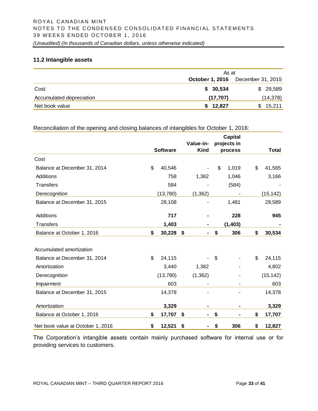# **11.2 Intangible assets**

|                          |                        | As at             |  |  |  |
|--------------------------|------------------------|-------------------|--|--|--|
|                          | <b>October 1, 2016</b> | December 31, 2015 |  |  |  |
| Cost                     | \$30,534               | \$29,589          |  |  |  |
| Accumulated depreciation | (17, 707)              | (14, 378)         |  |  |  |
| Net book value           | \$12,827               | \$15,211          |  |  |  |

# Reconciliation of the opening and closing balances of intangibles for October 1, 2016:

|                                   | <b>Software</b> | Value-in-<br><b>Kind</b> | <b>Capital</b><br>projects in<br>process | Total        |
|-----------------------------------|-----------------|--------------------------|------------------------------------------|--------------|
| Cost                              |                 |                          |                                          |              |
| Balance at December 31, 2014      | \$<br>40,546    |                          | \$<br>1,019                              | \$<br>41,565 |
| Additions                         | 758             | 1,362                    | 1,046                                    | 3,166        |
| <b>Transfers</b>                  | 584             |                          | (584)                                    |              |
| Derecognition                     | (13,780)        | (1, 362)                 |                                          | (15, 142)    |
| Balance at December 31, 2015      | 28,108          |                          | 1,481                                    | 29,589       |
| Additions                         | 717             |                          | 228                                      | 945          |
| Transfers                         | 1,403           |                          | (1, 403)                                 |              |
| Balance at October 1, 2016        | \$<br>30,228    | \$                       | \$<br>306                                | \$<br>30,534 |
| Accumulated amortization          |                 |                          |                                          |              |
| Balance at December 31, 2014      | \$<br>24,115    |                          | \$                                       | \$<br>24,115 |
| Amortization                      | 3,440           | 1,362                    |                                          | 4,802        |
| Derecognition                     | (13,780)        | (1, 362)                 |                                          | (15, 142)    |
| Impairment                        | 603             |                          |                                          | 603          |
| Balance at December 31, 2015      | 14,378          |                          |                                          | 14,378       |
| Amortization                      | 3,329           |                          |                                          | 3,329        |
| Balance at October 1, 2016        | \$<br>17,707    | \$                       | \$                                       | \$<br>17,707 |
| Net book value at October 1, 2016 | \$<br>12,521    | \$                       | \$<br>306                                | \$<br>12,827 |

The Corporation's intangible assets contain mainly purchased software for internal use or for providing services to customers.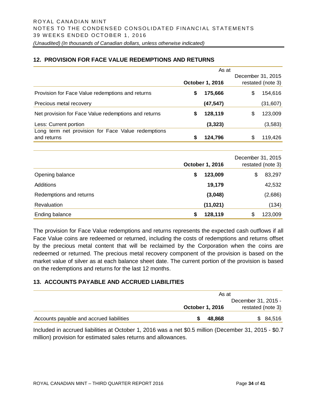# **12. PROVISION FOR FACE VALUE REDEMPTIONS AND RETURNS**

|                                                                   | As at |                        |    |                                        |  |
|-------------------------------------------------------------------|-------|------------------------|----|----------------------------------------|--|
|                                                                   |       | <b>October 1, 2016</b> |    | December 31, 2015<br>restated (note 3) |  |
| Provision for Face Value redemptions and returns                  | S     | 175,666                | \$ | 154,616                                |  |
| Precious metal recovery                                           |       | (47, 547)              |    | (31,607)                               |  |
| Net provision for Face Value redemptions and returns              | S     | 128,119                | \$ | 123,009                                |  |
| Less: Current portion                                             |       | (3, 323)               |    | (3,583)                                |  |
| Long term net provision for Face Value redemptions<br>and returns | S     | 124.796                | \$ | 119,426                                |  |

|                         | October 1, 2016 | December 31, 2015 | restated (note 3) |
|-------------------------|-----------------|-------------------|-------------------|
| Opening balance         | \$<br>123,009   | \$                | 83,297            |
| <b>Additions</b>        | 19,179          |                   | 42,532            |
| Redemptions and returns | (3,048)         |                   | (2,686)           |
| Revaluation             | (11, 021)       |                   | (134)             |
| Ending balance          | \$<br>128,119   | \$                | 123,009           |

The provision for Face Value redemptions and returns represents the expected cash outflows if all Face Value coins are redeemed or returned, including the costs of redemptions and returns offset by the precious metal content that will be reclaimed by the Corporation when the coins are redeemed or returned. The precious metal recovery component of the provision is based on the market value of silver as at each balance sheet date. The current portion of the provision is based on the redemptions and returns for the last 12 months.

# **13. ACCOUNTS PAYABLE AND ACCRUED LIABILITIES**

|                                          | As at                  |                     |
|------------------------------------------|------------------------|---------------------|
|                                          |                        | December 31, 2015 - |
|                                          | <b>October 1, 2016</b> | restated (note 3)   |
| Accounts payable and accrued liabilities | 48.868                 | \$84,516            |

Included in accrued liabilities at October 1, 2016 was a net \$0.5 million (December 31, 2015 - \$0.7 million) provision for estimated sales returns and allowances.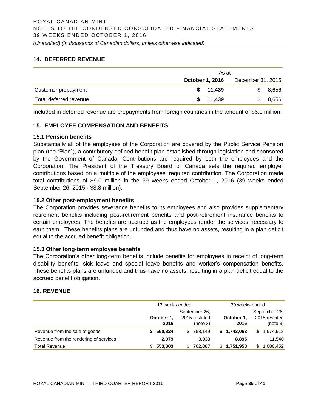# **14. DEFERRED REVENUE**

|                        | As at                  |                   |  |  |  |  |  |  |  |
|------------------------|------------------------|-------------------|--|--|--|--|--|--|--|
|                        | <b>October 1, 2016</b> | December 31, 2015 |  |  |  |  |  |  |  |
| Customer prepayment    | \$11,439               | \$8,656           |  |  |  |  |  |  |  |
| Total deferred revenue | \$11,439               | 8,656             |  |  |  |  |  |  |  |

Included in deferred revenue are prepayments from foreign countries in the amount of \$6.1 million.

# **15. EMPLOYEE COMPENSATION AND BENEFITS**

# **15.1 Pension benefits**

Substantially all of the employees of the Corporation are covered by the Public Service Pension plan (the "Plan"), a contributory defined benefit plan established through legislation and sponsored by the Government of Canada. Contributions are required by both the employees and the Corporation. The President of the Treasury Board of Canada sets the required employer contributions based on a multiple of the employees' required contribution. The Corporation made total contributions of \$9.0 million in the 39 weeks ended October 1, 2016 (39 weeks ended September 26, 2015 - \$8.8 million).

# **15.2 Other post-employment benefits**

The Corporation provides severance benefits to its employees and also provides supplementary retirement benefits including post-retirement benefits and post-retirement insurance benefits to certain employees. The benefits are accrued as the employees render the services necessary to earn them. These benefits plans are unfunded and thus have no assets, resulting in a plan deficit equal to the accrued benefit obligation.

#### **15.3 Other long-term employee benefits**

The Corporation's other long-term benefits include benefits for employees in receipt of long-term disability benefits, sick leave and special leave benefits and worker's compensation benefits. These benefits plans are unfunded and thus have no assets, resulting in a plan deficit equal to the accrued benefit obligation.

# **16. REVENUE**

|                                        | 13 weeks ended |               | 39 weeks ended |                  |  |  |  |
|----------------------------------------|----------------|---------------|----------------|------------------|--|--|--|
|                                        |                | September 26, |                | September 26,    |  |  |  |
|                                        | October 1,     | 2015 restated | October 1.     | 2015 restated    |  |  |  |
|                                        | 2016           | (note 3)      | 2016           | (note 3)         |  |  |  |
| Revenue from the sale of goods         | 550.824<br>S.  | 758.149<br>\$ | \$1.743.063    | 1,674,912<br>\$. |  |  |  |
| Revenue from the rendering of services | 2.979          | 3.938         | 8.895          | 11,540           |  |  |  |
| <b>Total Revenue</b>                   | 553,803        | 762.087<br>S. | \$1,751,958    | .686,452         |  |  |  |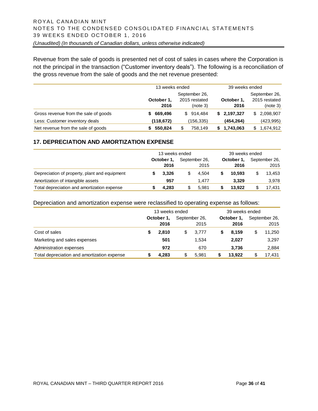Revenue from the sale of goods is presented net of cost of sales in cases where the Corporation is not the principal in the transaction ("Customer inventory deals"). The following is a reconciliation of the gross revenue from the sale of goods and the net revenue presented:

|                                      | 13 weeks ended |               | 39 weeks ended  |                  |  |  |  |
|--------------------------------------|----------------|---------------|-----------------|------------------|--|--|--|
|                                      |                | September 26, |                 | September 26,    |  |  |  |
|                                      | October 1,     | 2015 restated | October 1.      | 2015 restated    |  |  |  |
|                                      | 2016           | (note 3)      | 2016            | (note 3)         |  |  |  |
| Gross revenue from the sale of goods | 669,496<br>S.  | \$914,484     | \$2,197,327     | 2,098,907<br>\$. |  |  |  |
| Less: Customer inventory deals       | (118, 672)     | (156,335)     | (454, 264)      | (423,995)        |  |  |  |
| Net revenue from the sale of goods   | 550.824        | 758,149<br>S  | 1,743,063<br>\$ | 1,674,912<br>S   |  |  |  |

# **17. DEPRECIATION AND AMORTIZATION EXPENSE**

|                                               |            | 13 weeks ended |               | 39 weeks ended |  |            |  |               |
|-----------------------------------------------|------------|----------------|---------------|----------------|--|------------|--|---------------|
|                                               | October 1, |                | September 26, |                |  | October 1. |  | September 26, |
|                                               |            | 2016           |               | 2015           |  | 2016       |  | 2015          |
| Depreciation of property, plant and equipment |            | 3.326          |               | 4.504          |  | 10.593     |  | 13,453        |
| Amortization of intangible assets             |            | 957            |               | 1.477          |  | 3.329      |  | 3,978         |
| Total depreciation and amortization expense   |            | 4.283          |               | 5.981          |  | 13.922     |  | 17,431        |

Depreciation and amortization expense were reclassified to operating expense as follows:

|                                             | 13 weeks ended |    | 39 weeks ended |  |            |               |        |  |
|---------------------------------------------|----------------|----|----------------|--|------------|---------------|--------|--|
|                                             | October 1,     |    | September 26,  |  | October 1, | September 26, |        |  |
|                                             | 2016           |    | 2015           |  | 2016       |               | 2015   |  |
| Cost of sales                               | 2.810          | \$ | 3.777          |  | 8.159      |               | 11,250 |  |
| Marketing and sales expenses                | 501            |    | 1.534          |  | 2,027      |               | 3,297  |  |
| Administration expenses                     | 972            |    | 670            |  | 3,736      |               | 2,884  |  |
| Total depreciation and amortization expense | 4,283          | S  | 5.981          |  | 13.922     |               | 17,431 |  |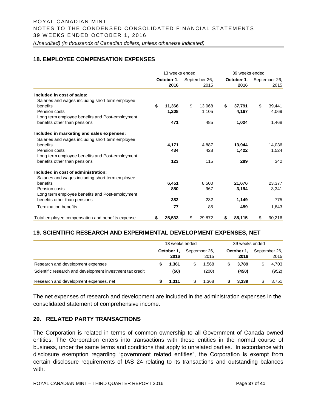# **18. EMPLOYEE COMPENSATION EXPENSES**

|                                                  | 13 weeks ended |    |               | 39 weeks ended |            |    |               |  |
|--------------------------------------------------|----------------|----|---------------|----------------|------------|----|---------------|--|
|                                                  | October 1,     |    | September 26, |                | October 1, |    | September 26, |  |
|                                                  | 2016           |    | 2015          |                | 2016       |    | 2015          |  |
| Included in cost of sales:                       |                |    |               |                |            |    |               |  |
| Salaries and wages including short term employee |                |    |               |                |            |    |               |  |
| benefits                                         | \$<br>11,366   | \$ | 13,068        | \$             | 37,791     | \$ | 39,441        |  |
| Pension costs                                    | 1,208          |    | 1,105         |                | 4,167      |    | 4,069         |  |
| Long term employee benefits and Post-employment  |                |    |               |                |            |    |               |  |
| benefits other than pensions                     | 471            |    | 485           |                | 1,024      |    | 1,468         |  |
| Included in marketing and sales expenses:        |                |    |               |                |            |    |               |  |
| Salaries and wages including short term employee |                |    |               |                |            |    |               |  |
| benefits                                         | 4,171          |    | 4.887         |                | 13,944     |    | 14,036        |  |
| Pension costs                                    | 434            |    | 428           |                | 1,422      |    | 1,524         |  |
| Long term employee benefits and Post-employment  |                |    |               |                |            |    |               |  |
| benefits other than pensions                     | 123            |    | 115           |                | 289        |    | 342           |  |
| Included in cost of administration:              |                |    |               |                |            |    |               |  |
| Salaries and wages including short term employee |                |    |               |                |            |    |               |  |
| benefits                                         | 6.451          |    | 8.500         |                | 21,676     |    | 23.377        |  |
| Pension costs                                    | 850            |    | 967           |                | 3,194      |    | 3,341         |  |
| Long term employee benefits and Post-employment  |                |    |               |                |            |    |               |  |
| benefits other than pensions                     | 382            |    | 232           |                | 1,149      |    | 775           |  |
| <b>Termination benefits</b>                      | 77             |    | 85            |                | 459        |    | 1,843         |  |
| Total employee compensation and benefits expense | \$<br>25,533   | \$ | 29,872        | \$             | 85,115     | \$ | 90,216        |  |

# **19. SCIENTIFIC RESEARCH AND EXPERIMENTAL DEVELOPMENT EXPENSES, NET**

|                                                           | 13 weeks ended     |   |                       | 39 weeks ended |                    |  |                       |  |
|-----------------------------------------------------------|--------------------|---|-----------------------|----------------|--------------------|--|-----------------------|--|
|                                                           | October 1,<br>2016 |   | September 26.<br>2015 |                | October 1,<br>2016 |  | September 26,<br>2015 |  |
| Research and development expenses                         | 1.361              | S | 1.568                 |                | 3.789              |  | 4.703                 |  |
| Scientific research and development investment tax credit | (50)               |   | (200)                 |                | (450)              |  | (952)                 |  |
| Research and development expenses, net                    | 1.311              | S | 1.368                 |                | 3.339              |  | 3,751                 |  |

The net expenses of research and development are included in the administration expenses in the consolidated statement of comprehensive income.

# **20. RELATED PARTY TRANSACTIONS**

The Corporation is related in terms of common ownership to all Government of Canada owned entities. The Corporation enters into transactions with these entities in the normal course of business, under the same terms and conditions that apply to unrelated parties. In accordance with disclosure exemption regarding "government related entities", the Corporation is exempt from certain disclosure requirements of IAS 24 relating to its transactions and outstanding balances with: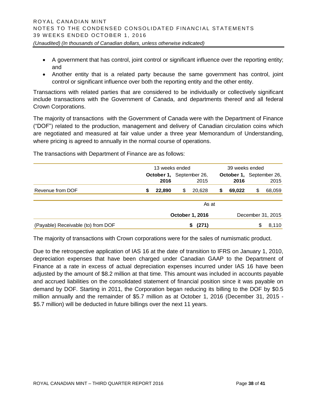- A government that has control, joint control or significant influence over the reporting entity; and
- Another entity that is a related party because the same government has control, joint control or significant influence over both the reporting entity and the other entity.

Transactions with related parties that are considered to be individually or collectively significant include transactions with the Government of Canada, and departments thereof and all federal Crown Corporations.

The majority of transactions with the Government of Canada were with the Department of Finance ("DOF") related to the production, management and delivery of Canadian circulation coins which are negotiated and measured at fair value under a three year Memorandum of Understanding, where pricing is agreed to annually in the normal course of operations.

The transactions with Department of Finance are as follows:

|                                    |                        | 13 weeks ended |                          | 39 weeks ended |                          |        |   |        |  |
|------------------------------------|------------------------|----------------|--------------------------|----------------|--------------------------|--------|---|--------|--|
|                                    |                        |                | October 1, September 26, |                | October 1, September 26, |        |   |        |  |
|                                    |                        | 2016           |                          | 2015           |                          | 2016   |   | 2015   |  |
| Revenue from DOF                   | \$                     | 22,890         | \$                       | 20,628         | \$                       | 69,022 | S | 68,059 |  |
|                                    |                        |                |                          | As at          |                          |        |   |        |  |
|                                    | <b>October 1, 2016</b> |                |                          |                | December 31, 2015        |        |   |        |  |
| (Payable) Receivable (to) from DOF |                        |                |                          | (271)          |                          |        | S | 8,110  |  |

The majority of transactions with Crown corporations were for the sales of numismatic product.

Due to the retrospective application of IAS 16 at the date of transition to IFRS on January 1, 2010, depreciation expenses that have been charged under Canadian GAAP to the Department of Finance at a rate in excess of actual depreciation expenses incurred under IAS 16 have been adjusted by the amount of \$8.2 million at that time. This amount was included in accounts payable and accrued liabilities on the consolidated statement of financial position since it was payable on demand by DOF. Starting in 2011, the Corporation began reducing its billing to the DOF by \$0.5 million annually and the remainder of \$5.7 million as at October 1, 2016 (December 31, 2015 - \$5.7 million) will be deducted in future billings over the next 11 years.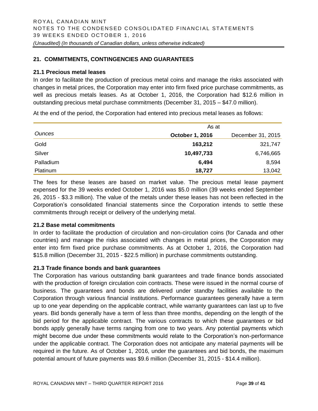# **21. COMMITMENTS, CONTINGENCIES AND GUARANTEES**

# **21.1 Precious metal leases**

In order to facilitate the production of precious metal coins and manage the risks associated with changes in metal prices, the Corporation may enter into firm fixed price purchase commitments, as well as precious metals leases. As at October 1, 2016, the Corporation had \$12.6 million in outstanding precious metal purchase commitments (December 31, 2015 – \$47.0 million).

At the end of the period, the Corporation had entered into precious metal leases as follows:

|               | As at                  |                   |  |  |  |  |  |
|---------------|------------------------|-------------------|--|--|--|--|--|
| <b>Ounces</b> | <b>October 1, 2016</b> | December 31, 2015 |  |  |  |  |  |
| Gold          | 163,212                | 321,747           |  |  |  |  |  |
| Silver        | 10,497,733             | 6,746,665         |  |  |  |  |  |
| Palladium     | 6,494                  | 8,594             |  |  |  |  |  |
| Platinum      | 18,727                 | 13,042            |  |  |  |  |  |

The fees for these leases are based on market value. The precious metal lease payment expensed for the 39 weeks ended October 1, 2016 was \$5.0 million (39 weeks ended September 26, 2015 - \$3.3 million). The value of the metals under these leases has not been reflected in the Corporation's consolidated financial statements since the Corporation intends to settle these commitments through receipt or delivery of the underlying metal.

# **21.2 Base metal commitments**

In order to facilitate the production of circulation and non-circulation coins (for Canada and other countries) and manage the risks associated with changes in metal prices, the Corporation may enter into firm fixed price purchase commitments. As at October 1, 2016, the Corporation had \$15.8 million (December 31, 2015 - \$22.5 million) in purchase commitments outstanding.

#### **21.3 Trade finance bonds and bank guarantees**

The Corporation has various outstanding bank guarantees and trade finance bonds associated with the production of foreign circulation coin contracts. These were issued in the normal course of business. The guarantees and bonds are delivered under standby facilities available to the Corporation through various financial institutions. Performance guarantees generally have a term up to one year depending on the applicable contract, while warranty guarantees can last up to five years. Bid bonds generally have a term of less than three months, depending on the length of the bid period for the applicable contract. The various contracts to which these guarantees or bid bonds apply generally have terms ranging from one to two years. Any potential payments which might become due under these commitments would relate to the Corporation's non-performance under the applicable contract. The Corporation does not anticipate any material payments will be required in the future. As of October 1, 2016, under the guarantees and bid bonds, the maximum potential amount of future payments was \$9.6 million (December 31, 2015 - \$14.4 million).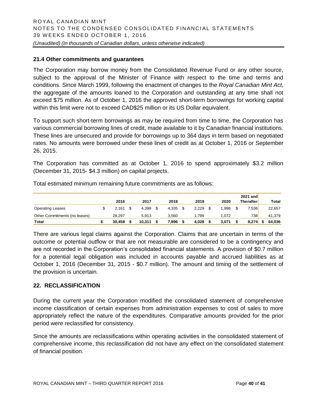# **21.4 Other commitments and guarantees**

The Corporation may borrow money from the Consolidated Revenue Fund or any other source, subject to the approval of the Minister of Finance with respect to the time and terms and conditions. Since March 1999, following the enactment of changes to the *Royal Canadian Mint Act*, the aggregate of the amounts loaned to the Corporation and outstanding at any time shall not exceed \$75 million. As of October 1, 2016 the approved short-term borrowings for working capital within this limit were not to exceed CAD\$25 million or its US Dollar equivalent.

To support such short-term borrowings as may be required from time to time, the Corporation has various commercial borrowing lines of credit, made available to it by Canadian financial institutions. These lines are unsecured and provide for borrowings up to 364 days in term based on negotiated rates. No amounts were borrowed under these lines of credit as at October 1, 2016 or September 26, 2015.

The Corporation has committed as at October 1, 2016 to spend approximately \$3.2 million (December 31, 2015- \$4.3 million) on capital projects.

|                               |        |        |       |       |       | 2021 and         |        |
|-------------------------------|--------|--------|-------|-------|-------|------------------|--------|
|                               | 2016   | 2017   | 2018  | 2019  | 2020  | <b>Therafter</b> | Total  |
| <b>Operating Leases</b>       | 2.161  | 4.398  | 4,335 | 2,229 | '.998 | 7,5361           | 22,657 |
| Other Commitments (no leases) | 28.297 | 5.913  | 3.560 | .799  | 1.072 | 738              | 41,379 |
| Total                         | 30.458 | 10.311 | 896,  | 4,028 | 3,071 | 8,274            | 64.036 |

Total estimated minimum remaining future commitments are as follows:

There are various legal claims against the Corporation. Claims that are uncertain in terms of the outcome or potential outflow or that are not measurable are considered to be a contingency and are not recorded in the Corporation's consolidated financial statements. A provision of \$0.7 million for a potential legal obligation was included in accounts payable and accrued liabilities as at October 1, 2016 (December 31, 2015 - \$0.7 million). The amount and timing of the settlement of the provision is uncertain.

# **22. RECLASSIFICATION**

During the current year the Corporation modified the consolidated statement of comprehensive income classification of certain expenses from administration expenses to cost of sales to more appropriately reflect the nature of the expenditures. Comparative amounts provided for the prior period were reclassified for consistency.

Since the amounts are reclassifications within operating activities in the consolidated statement of comprehensive income, this reclassification did not have any effect on the consolidated statement of financial position.